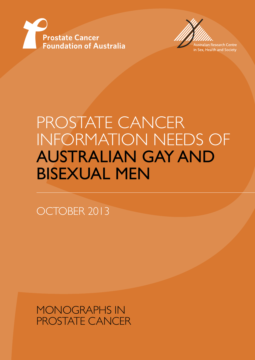



## PROSTATE CANCER INFORMATION NEEDS OF AUSTRALIAN GAY AND BISEXUAL MEN

OCTOBER 2013

MONOGRAPHS IN PROSTATE CANCER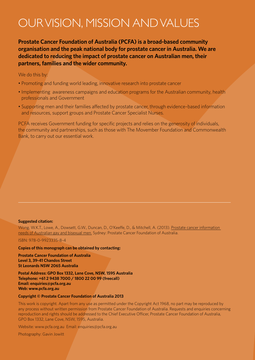## OUR VISION, MISSION AND VALUES

**Prostate Cancer Foundation of Australia (PCFA) is a broad-based community organisation and the peak national body for prostate cancer in Australia. We are dedicated to reducing the impact of prostate cancer on Australian men, their partners, families and the wider community.**

We do this by:

- Promoting and funding world leading, innovative research into prostate cancer
- Implementing awareness campaigns and education programs for the Australian community, health professionals and Government
- Supporting men and their families affected by prostate cancer, through evidence–based information and resources, support groups and Prostate Cancer Specialist Nurses.

PCFA receives Government funding for specific projects and relies on the generosity of individuals, the community and partnerships, such as those with The Movember Foundation and Commonwealth Bank, to carry out our essential work.

#### **Suggested citation:**

Wong, W.K.T., Lowe, A., Dowsett, G.W., Duncan, D., O'Keeffe, D., & Mitchell, A. (2013). Prostate cancer information needs of Australian gay and bisexual men. Sydney: Prostate Cancer Foundation of Australia.

ISBN: 978-0-9923335-8-4

**Copies of this monograph can be obtained by contacting:**

**Prostate Cancer Foundation of Australia Level 3, 39-41 Chandos Street St Leonards NSW 2065 Australia**

**Postal Address: GPO Box 1332, Lane Cove, NSW, 1595 Australia Telephone: +61 2 9438 7000 / 1800 22 00 99 (freecall) Email: enquiries@pcfa.org.au Web: www.pcfa.org.au**

#### **Copyright © Prostate Cancer Foundation of Australia 2013**

This work is copyright. Apart from any use as permitted under the Copyright Act 1968, no part may be reproduced by any process without written permission from Prostate Cancer Foundation of Australia. Requests and enquiries concerning reproduction and rights should be addressed to the Chief Executive Officer, Prostate Cancer Foundation of Australia, GPO Box 1332, Lane Cove, NSW, 1595, Australia.

Website: www.pcfa.org.au Email: enquiries@pcfa.org.au

Photography: Gavin Jowitt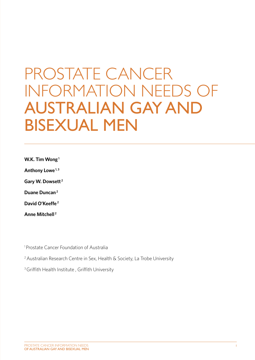## PROSTATE CANCER INFORMATION NEEDS OF AUSTRALIAN GAY AND BISEXUAL MEN

**W.K. Tim Wong 1 Anthony Lowe 1, 3 Gary W. Dowsett 2 Duane Duncan 2 David O'Keeffe 2 Anne Mitchell 2**

1 Prostate Cancer Foundation of Australia

- <sup>2</sup> Australian Research Centre in Sex, Health & Society, La Trobe University
- <sup>3</sup> Griffith Health Institute, Griffith University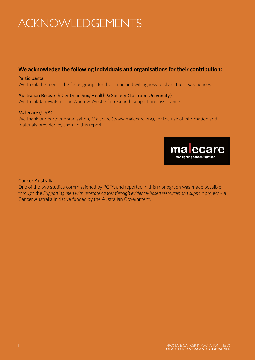## ACKNOWLEDGEMENTS

#### **We acknowledge the following individuals and organisations for their contribution:**

#### **Participants**

We thank the men in the focus groups for their time and willingness to share their experiences.

#### Australian Research Centre in Sex, Health & Society (La Trobe University)

We thank Jan Watson and Andrew Westle for research support and assistance.

#### Malecare (USA)

We thank our partner organisation, Malecare (www.malecare.org), for the use of information and materials provided by them in this report.



#### Cancer Australia

One of the two studies commissioned by PCFA and reported in this monograph was made possible through the *Supporting men with prostate cancer through evidence-based resources and support* project – a Cancer Australia initiative funded by the Australian Government.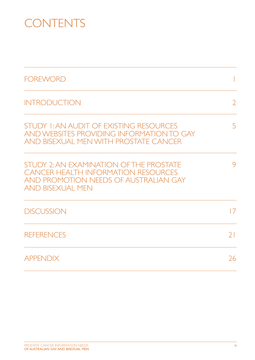## **CONTENTS**

| FOREWORD                                                                                                                                           |                |
|----------------------------------------------------------------------------------------------------------------------------------------------------|----------------|
| <b>INTRODUCTION</b>                                                                                                                                | 2              |
| STUDY 1: AN AUDIT OF EXISTING RESOURCES<br>AND WEBSITES PROVIDING INFORMATION TO GAY<br>AND BISEXUAL MEN WITH PROSTATE CANCER                      | 5              |
| STUDY 2: AN EXAMINATION OF THE PROSTATE<br><b>CANCER HEALTH INFORMATION RESOURCES</b><br>AND PROMOTION NEEDS OF AUSTRALIAN GAY<br>AND BISEXUAL MEN | 9              |
| <b>DISCUSSION</b>                                                                                                                                  | 17             |
| <b>REFERENCES</b>                                                                                                                                  | 2 <sup>1</sup> |
| <b>APPENDIX</b>                                                                                                                                    | 26             |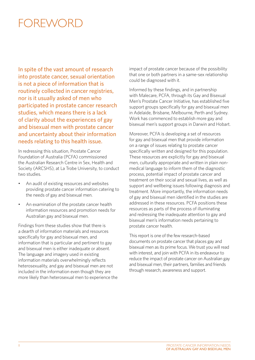## **FOREWORD**

In spite of the vast amount of research into prostate cancer, sexual orientation is not a piece of information that is routinely collected in cancer registries, nor is it usually asked of men who participated in prostate cancer research studies, which means there is a lack of clarity about the experiences of gay and bisexual men with prostate cancer and uncertainty about their information needs relating to this health issue.

In redressing this situation, Prostate Cancer Foundation of Australia (PCFA) commissioned the Australian Research Centre in Sex, Health and Society (ARCSHS), at La Trobe University, to conduct two studies.

- An audit of existing resources and websites providing prostate cancer information catering to the needs of gay and bisexual men.
- An examination of the prostate cancer health information resources and promotion needs for Australian gay and bisexual men.

Findings from these studies show that there is a dearth of information materials and resources specifically for gay and bisexual men, and information that is particular and pertinent to gay and bisexual men is either inadequate or absent. The language and imagery used in existing information materials overwhelmingly reflects heterosexuality, and gay and bisexual men are not included in the information even though they are more likely than heterosexual men to experience the impact of prostate cancer because of the possibility that one or both partners in a same-sex relationship could be diagnosed with it.

Informed by these findings, and in partnership with Malecare, PCFA, through its Gay and Bisexual Men's Prostate Cancer Initiative, has established five support groups specifically for gay and bisexual men in Adelaide, Brisbane, Melbourne, Perth and Sydney. Work has commenced to establish more gay and bisexual men's support groups in Darwin and Hobart.

Moreover, PCFA is developing a set of resources for gay and bisexual men that provide information on a range of issues relating to prostate cancer specifically written and designed for this population. These resources are explicitly for gay and bisexual men, culturally appropriate and written in plain nonmedical language to inform them of the diagnostic process, potential impact of prostate cancer and treatment on their social and sexual lives, as well as support and wellbeing issues following diagnosis and treatment. More importantly, the information needs of gay and bisexual men identified in the studies are addressed in these resources. PCFA positions these resources as parts of the process of illuminating and redressing the inadequate attention to gay and bisexual men's information needs pertaining to prostate cancer health.

This report is one of the few research-based documents on prostate cancer that places gay and bisexual men as its prime focus. We trust you will read with interest, and join with PCFA in its endeavour to reduce the impact of prostate cancer on Australian gay and bisexual men, their partners, families and friends through research, awareness and support.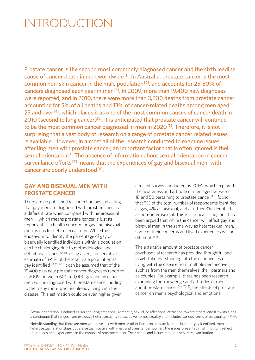## INTRODUCTION

Prostate cancer is the second most commonly diagnosed cancer and the sixth leading cause of cancer death in men worldwide<sup>[1]</sup>. In Australia, prostate cancer is the most common non-skin cancer in the male population<sup>[2]</sup>, and accounts for 25-30% of cancers diagnosed each year in men $^{[3]}$ . In 2009, more than 19,400 new diagnoses were reported, and in 2010, there were more than 3,200 deaths from prostate cancer accounting for 5% of all deaths and 13% of cancer-related deaths among men aged 25 and over<sup>[4]</sup>, which places it as one of the most common causes of cancer death in 2010 (second to lung cancer)<sup>[5]</sup>. It is anticipated that prostate cancer will continue to be the most common cancer diagnosed in men in 2020[3]. Therefore, it is not surprising that a vast body of research on a range of prostate cancer related issues is available. However, in almost all of the research conducted to examine issues affecting men with prostate cancer, an important factor that is often ignored is their sexual orientation\*. The absence of information about sexual orientation in cancer surveillance efforts<sup>[7]</sup> means that the experiences of gay and bisexual men<sup>†</sup> with cancer are poorly understood<sup>[8]</sup>.

#### **GAY AND BISEXUAL MEN WITH PROSTATE CANCER**

There are no published research findings indicating that gay men are diagnosed with prostate cancer at a different rate when compared with heterosexual men[9], which means prostate cancer is just as important as a health concern for gay and bisexual men as it is for heterosexual men. While the endeavour to identify the percentage of gay or bisexually identified individuals within a population can be challenging due to methodological and definitional issues  $[10, 11]$ , using a very conservative estimate of 3-5% of the total male population as gay identified  $[12, 13, 14]$ , it can be assumed that of the 19,400 plus new prostate cancer diagnoses reported in 2009, between 600 to 1,000 gay and bisexual men will be diagnosed with prostate cancer, adding to the many more who are already living with the disease. This estimation could be even higher given

a recent survey conducted by PCFA, which explored the awareness and attitude of men aged between 18 and 50 pertaining to prostate cancer<sup>[15]</sup>, found that 7% of the total number of respondents identified as gay, 4% as bisexual, and a further 3% identified as non-heterosexual. This is a critical issue, for it has been argued that while the cancer will affect gay and bisexual men in the same way as heterosexual men, some of their concerns and lived experiences will be different [9, 16].

The extensive amount of prostate cancer psychosocial research has provided thoughtful and insightful understanding into the experiences of living with the disease from multiple perspectives, such as from the men themselves, their partners and as couples. For example, there has been research examining the knowledge and attitudes of men about prostate cancer [e.g. 17, 18], the effects of prostate cancer on men's psychological and emotional

Sexual orientation is defined as 'an enduring emotional, romantic, sexual, or affectional attraction toward others' and it 'exists along a continuum that ranges from exclusive heterosexuality to exclusive homosexuality and includes various forms of bisexuality<sup>(6, p.656]</sup>.

Notwithstanding that there are men who have sex with men or other homosexually active men but non-gay identified, men in heterosexual relationships but are sexually active with men, and transgender women, the issues presented might not fully reflect their needs and experiences in the context of prostate cancer. Their needs and issues require a separate examination.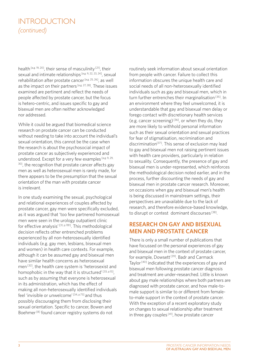#### INTRODUCTION *(continued)*

health [e.g. 19, 20], their sense of masculinity [21], their sexual and intimate relationships [e.g. 9, 22, 23, 24], sexual rehabilitation after prostate cancer [e.g. 25, 26], as well as the impact on their partners [e.g. 27, 28]. These issues examined are pertinent and reflect the needs of people affected by prostate cancer, but the focus is hetero-centric, and issues specific to gay and bisexual men are often neither acknowledged nor addressed.

While it could be argued that biomedical science research on prostate cancer can be conducted without needing to take into account the individual's sexual orientation, this cannot be the case when the research is about the psychosocial impact of prostate cancer as subjectively experienced and understood. Except for a very few examples [e.g. 9, 29, <sup>30]</sup>, the recognition that prostate cancer affects gay men as well as heterosexual men is rarely made, for there appears to be the presumption that the sexual orientation of the man with prostate cancer is irrelevant.

In one study examining the sexual, psychological and relational experiences of couples affected by prostate cancer, gay men were specifically excluded, as it was argued that 'too few partnered homosexual men were seen in the urology outpatient clinic for effective analysis' [31, p.781]. This methodological decision reflects other entrenched problems experienced by all non-heterosexually identified individuals (e.g. gay men, lesbians, bisexual men and women) in health care contexts. For example, although it can be assumed gay and bisexual men have similar health concerns as heterosexual men [32], the health care system is 'heterosexist and homophobic in the way that it is structured' [33, p.13], such as by assuming that everyone is heterosexual in its administration, which has the effect of making all non-heterosexually identified individuals feel 'invisible or unwelcome' [34, p.73] and thus possibly discouraging them from disclosing their sexual orientation. Specific to cancer, Bowen and Boehmer [8] found cancer registry systems do not

routinely seek information about sexual orientation from people with cancer. Failure to collect this information obscures the unique health care and social needs of all non-heterosexually identified individuals such as gay and bisexual men, which in turn further entrenches their marginalisation<sup>[35]</sup>. In an environment where they feel unwelcomed, it is understandable that gay and bisexual men delay or forego contact with discretionary health services (e.g. cancer screening)<sup>[36]</sup>, or when they do, they are more likely to withhold personal information such as their sexual orientation and sexual practices for fear of stigmatisation, recrimination and discrimination<sup>[37]</sup>. This sense of exclusion may lead to gay and bisexual men not raising pertinent issues with health care providers, particularly in relation to sexuality. Consequently, the presence of gay and bisexual men is under-represented, which reinforces the methodological decision noted earlier, and in the process, further discounting the needs of gay and bisexual men in prostate cancer research. Moreover, on occasions when gay and bisexual men's health is being discussed in mainstream settings, their perspectives are unavailable due to the lack of research, and therefore evidence-based knowledge, to disrupt or contest dominant discourses<sup>[38]</sup>.

#### **RESEARCH ON GAY AND BISEXUAL MEN AND PROSTATE CANCER**

There is only a small number of publications that have focussed on the personal experiences of gay and bisexual men in the context of prostate cancer, for example, Dowsett<sup>[39]</sup>. Badr and Carmack Taylor<sup>[40]</sup> indicated that the experiences of gay and bisexual men following prostate cancer diagnosis and treatment are under-researched. Little is known about gay male relationships where both partners are diagnosed with prostate cancer, and how male-tomale support is similar to or different from femaleto-male support in the context of prostate cancer. With the exception of a recent exploratory study on changes to sexual relationship after treatment in three gay couples  $[41]$ , how prostate cancer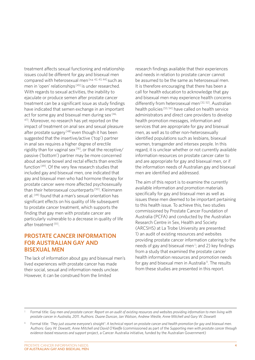treatment affects sexual functioning and relationship issues could be different for gay and bisexual men compared with heterosexual men [e.g. 42, 43, 44] such as men in 'open' relationships<sup>[45]</sup> is under researched. With regards to sexual activities, the inability to ejaculate or produce semen after prostate cancer treatment can be a significant issue as study findings have indicated that semen exchange in an important act for some gay and bisexual men during sex  $[46, 12]$ <sup>47]</sup>. Moreover, no research has yet reported on the impact of treatment on anal sex and sexual pleasure after prostate surgery<sup>[48]</sup> even though it has been suggested that the insertive/active ('top') partner in anal sex requires a higher degree of erectile rigidity than for vaginal sex $^{[16]}$ , or that the receptive/ passive ('bottom') partner may be more concerned about adverse bowel and rectal effects than erectile function  $[49]$ . Of the very few research studies that included gay and bisexual men, one indicated that gay and bisexual men who had hormone therapy for prostate cancer were more affected psychosexually than their heterosexual counterparts<sup>[50]</sup>. Kleinmann et al. [49] found that a man's sexual orientation has significant effects on his quality of life subsequent to prostate cancer treatment, which supports the finding that gay men with prostate cancer are particularly vulnerable to a decrease in quality of life after treatment [51].

#### **PROSTATE CANCER INFORMATION FOR AUSTRALIAN GAY AND BISEXUAL MEN**

The lack of information about gay and bisexual men's lived experiences with prostate cancer has made their social, sexual and information needs unclear. However, it can be construed from the limited

research findings available that their experiences and needs in relation to prostate cancer cannot be assumed to be the same as heterosexual men. It is therefore encouraging that there has been a call for health education to acknowledge that gay and bisexual men may experience health concerns differently from heterosexual men [32, 52]. Australian health policies [53, 54] have called on health service administrators and direct care providers to develop health promotion messages, information and services that are appropriate for gay and bisexual men, as well as to other non-heterosexually identified populations such as lesbians, bisexual women, transgender and intersex people. In this regard, it is unclear whether or not currently available information resources on prostate cancer cater to and are appropriate for gay and bisexual men, or if the information needs of Australian gay and bisexual men are identified and addressed.

The aim of this report is to examine the currently available information and promotion materials specifically for gay and bisexual men as well as issues these men deemed to be important pertaining to this health issue. To achieve this, two studies commissioned by Prostate Cancer Foundation of Australia (PCFA) and conducted by the Australian Research Centre in Sex, Health and Society (ARCSHS) at La Trobe University are presented: 1) an audit of existing resources and websites providing prostate cancer information catering to the needs of gay and bisexual men $\overline{a}$ ; and 2) key findings from a study that examined the prostate cancer health information resources and promotion needs for gay and bisexual men in Australia<sup>§</sup>. The results from these studies are presented in this report.

<sup>‡</sup> Formal title: *Gay men and prostate cancer: Report on an audit of existing resources and websites providing information to men living with prostate cancer in Australia, 2011.* Authors: *Duane Duncan, Jan Watson, Andrew Westle, Anne Mitchell and Gary W. Dowsett*

<sup>§</sup> Formal title: *'They just assume everyone's straight': A technical report on prostate cancer and health promotion for gay and bisexual men.* Authors: *Gary W. Dowsett, Anne Mitchell and David O'Keeffe* (commissioned as part of the *Supporting men with prostate cancer through evidence-based resources and support* project, a Cancer Australia initiative, funded by the Australian Government)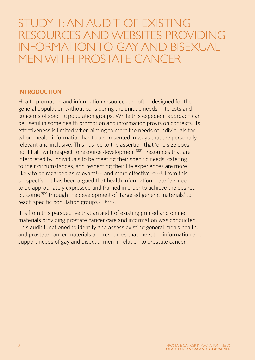STUDY 1: AN AUDIT OF EXISTING RESOURCES AND WEBSITES PROVIDING INFORMATION TO GAY AND BISEXUAL MEN WITH PROSTATE CANCER

#### **INTRODUCTION**

Health promotion and information resources are often designed for the general population without considering the unique needs, interests and concerns of specific population groups. While this expedient approach can be useful in some health promotion and information provision contexts, its effectiveness is limited when aiming to meet the needs of individuals for whom health information has to be presented in ways that are personally relevant and inclusive. This has led to the assertion that 'one size does not fit all' with respect to resource development<sup>[55]</sup>. Resources that are interpreted by individuals to be meeting their specific needs, catering to their circumstances, and respecting their life experiences are more likely to be regarded as relevant<sup>[56]</sup> and more effective<sup>[57, 58]</sup>. From this perspective, it has been argued that health information materials need to be appropriately expressed and framed in order to achieve the desired outcome[59] through the development of 'targeted generic materials' to reach specific population groups<sup>[55, p.276]</sup>.

It is from this perspective that an audit of existing printed and online materials providing prostate cancer care and information was conducted. This audit functioned to identify and assess existing general men's health, and prostate cancer materials and resources that meet the information and support needs of gay and bisexual men in relation to prostate cancer.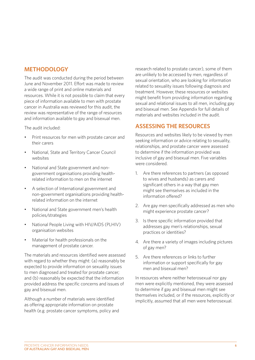#### **METHODOLOGY**

The audit was conducted during the period between June and November 2011. Effort was made to review a wide range of print and online materials and resources. While it is not possible to claim that every piece of information available to men with prostate cancer in Australia was reviewed for this audit, the review was representative of the range of resources and information available to gay and bisexual men.

The audit included:

- Print resources for men with prostate cancer and their carers
- National, State and Territory Cancer Council websites
- National and State government and nongovernment organisations providing healthrelated information to men on the internet
- A selection of International government and non-government organisations providing healthrelated information on the internet
- National and State government men's health policies/strategies
- National People Living with HIV/AIDS (PLHIV) organisation websites
- Material for health professionals on the management of prostate cancer.

The materials and resources identified were assessed with regard to whether they might: (a) reasonably be expected to provide information on sexuality issues to men diagnosed and treated for prostate cancer; and (b) reasonably be expected that the information provided address the specific concerns and issues of gay and bisexual men.

Although a number of materials were identified as offering appropriate information on prostate health (e.g. prostate cancer symptoms, policy and research related to prostate cancer), some of them are unlikely to be accessed by men, regardless of sexual orientation, who are looking for information related to sexuality issues following diagnosis and treatment. However, these resources or websites might benefit from providing information regarding sexual and relational issues to all men, including gay and bisexual men. See Appendix for full details of materials and websites included in the audit.

#### **ASSESSING THE RESOURCES**

Resources and websites likely to be viewed by men seeking information or advice relating to sexuality, relationships, and prostate cancer were assessed to determine if the information provided was inclusive of gay and bisexual men. Five variables were considered.

- 1. Are there references to partners (as opposed to wives and husbands) as carers and significant others in a way that gay men might see themselves as included in the information offered?
- 2. Are gay men specifically addressed as men who might experience prostate cancer?
- 3. Is there specific information provided that addresses gay men's relationships, sexual practices or identities?
- 4. Are there a variety of images including pictures of gay men?
- 5. Are there references or links to further information or support specifically for gay men and bisexual men?

In resources where neither heterosexual nor gay men were explicitly mentioned, they were assessed to determine if gay and bisexual men might see themselves included, or if the resources, explicitly or implicitly, assumed that all men were heterosexual.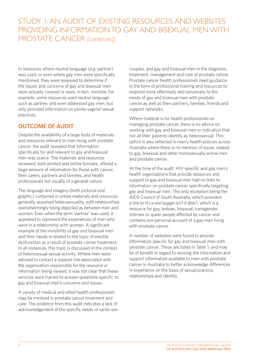STUDY 1: AN AUDIT OF EXISTING RESOURCES AND WEBSITES PROVIDING INFORMATION TO GAY AND BISEXUAL MEN WITH PROSTATE CANCER *(continued)*

In resources where neutral language (e.g. partner) was used, or even where gay men were specifically mentioned, they were assessed to determine if the issues and concerns of gay and bisexual men were actually covered or were, in fact, invisible. For example, some resources used neutral language such as partner, and even addressed gay men, but only provided information on penile-vaginal sexual practices.

#### **OUTCOME OF AUDIT**

Despite the availability of a large body of materials and resources relevant to men living with prostate cancer, the audit revealed that information specifically for and relevant to gay and bisexual men was scarce. The materials and resources reviewed, both printed and online formats, offered a large amount of information for those with cancer, their carers, partners and families, and health professionals but usually of a general nature.

The language and imagery (both pictorial and graphic) contained in online materials and resources generally assumed heterosexuality, with relationships overwhelmingly being depicted as between men and women. Even when the term 'partner' was used, it appeared to represent the experiences of men who were in a relationship with women. A significant example of the invisibility of gay and bisexual men and their needs is related to the topic of erectile dysfunction as a result of prostate cancer treatment. In all instances, this topic is discussed in the context of heterosexual sexual activity. Where men were advised to contact a support line associated with the organisation responsible for the resource or information being viewed, it was not clear that these services were trained to answer questions specific to gay and bisexual men's concerns and issues.

A variety of medical and allied health professionals may be involved in prostate cancer treatment and care. The evidence from this audit indicates a lack of acknowledgement of the specific needs of same-sex couples, and gay and bisexual men in the diagnosis, treatment, management and care of prostate cancer. Prostate cancer health professionals need guidance in the form of professional training and resources to respond more effectively and sensitively to the needs of gay and bisexual men with prostate cancer as well as their partners, families, friends and support networks.

Where material is for health professionals on managing prostate cancer, there is no advice on working with gay and bisexual men or indication that not all their patients identify as heterosexual. This deficit is also reflected in men's health policies across Australia where there is no mention of issues related to gay, bisexual and other homosexually active men and prostate cancer.

At the time of the audit, HIV-specific and gay men's health organisations that provide resources and support to gay and bisexual men had no links to information on prostate cancer specifically targeting gay and bisexual men. The only exception being the AIDS Council of South Australia, which provided a link to *It's a real bugger isn't it dear?*, which is a resource for gay, lesbian, bisexual, transgender, intersex or queer people affected by cancer and contains one personal account of a gay man living with prostate cancer.

A number of websites were found to provide information specific for gay and bisexual men with prostate cancer. These are listed in Table 1, and may be of benefit in regard to revising the information and support information available to men with prostate cancer in Australia to better acknowledge differences in experience on the basis of sexual practice, relationships and identity.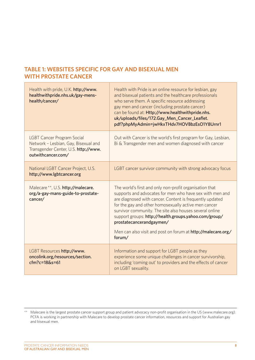#### **TABLE 1: WEBSITES SPECIFIC FOR GAY AND BISEXUAL MEN WITH PROSTATE CANCER**

 $\blacksquare$ 

| Health with pride, U.K. http://www.<br>healthwithpride.nhs.uk/gay-mens-<br>health/cancer/                                               | Health with Pride is an online resource for lesbian, gay<br>and bisexual patients and the healthcare professionals<br>who serve them. A specific resource addressing<br>gay men and cancer (including prostate cancer)<br>can be found at: Http://www.healthwithpride.nhs.<br>uk/uploads/files/172.Gay_Men_Cancer_Leaflet.<br>pdf?phpMyAdmin=jwHkxTHdv7HOVBbzEsO1Y8Urnr1                                                                                          |
|-----------------------------------------------------------------------------------------------------------------------------------------|-------------------------------------------------------------------------------------------------------------------------------------------------------------------------------------------------------------------------------------------------------------------------------------------------------------------------------------------------------------------------------------------------------------------------------------------------------------------|
| <b>LGBT Cancer Program Social</b><br>Network - Lesbian, Gay, Bisexual and<br>Transgender Center, U.S. http://www.<br>outwithcancer.com/ | Out with Cancer is the world's first program for Gay, Lesbian,<br>Bi & Transgender men and women diagnosed with cancer                                                                                                                                                                                                                                                                                                                                            |
| National LGBT Cancer Project, U.S.<br>http://www.lgbtcancer.org                                                                         | LGBT cancer survivor community with strong advocacy focus                                                                                                                                                                                                                                                                                                                                                                                                         |
| Malecare **, U.S. http://malecare.<br>org/a-gay-mans-guide-to-prostate-<br>cancer/                                                      | The world's first and only non-profit organisation that<br>supports and advocates for men who have sex with men and<br>are diagnosed with cancer. Content is frequently updated<br>for the gay and other homosexually active men cancer<br>survivor community. The site also houses several online<br>support groups: http://health.groups.yahoo.com/group/<br>prostatecancerandgaymen/<br>Men can also visit and post on forum at http://malecare.org/<br>forum/ |
| LGBT Resources http://www.<br>oncolink.org/resources/section.<br>$cm?c = 18&s = 61$                                                     | Information and support for LGBT people as they<br>experience some unique challenges in cancer survivorship,<br>including 'coming out' to providers and the effects of cancer<br>on LGBT sexuality.                                                                                                                                                                                                                                                               |

<sup>\*\*</sup> Malecare is the largest prostate cancer support group and patient advocacy non-profit organisation in the US (www.malecare.org). PCFA is working in partnership with Malecare to develop prostate cancer information, resources and support for Australian gay and bisexual men.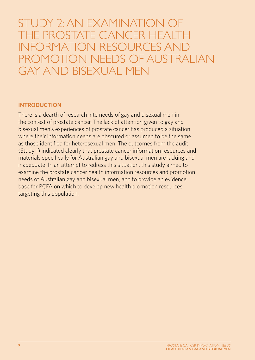STUDY 2: AN EXAMINATION OF THE PROSTATE CANCER HEALTH INFORMATION RESOURCES AND PROMOTION NEEDS OF AUSTRALIAN GAY AND BISEXUAL MEN

#### **INTRODUCTION**

There is a dearth of research into needs of gay and bisexual men in the context of prostate cancer. The lack of attention given to gay and bisexual men's experiences of prostate cancer has produced a situation where their information needs are obscured or assumed to be the same as those identified for heterosexual men. The outcomes from the audit (Study 1) indicated clearly that prostate cancer information resources and materials specifically for Australian gay and bisexual men are lacking and inadequate. In an attempt to redress this situation, this study aimed to examine the prostate cancer health information resources and promotion needs of Australian gay and bisexual men, and to provide an evidence base for PCFA on which to develop new health promotion resources targeting this population.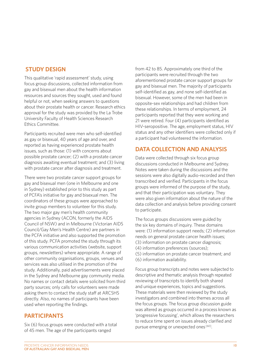#### **STUDY DESIGN**

This qualitative 'rapid assessment' study, using focus group discussions, collected information from gay and bisexual men about the health information resources and sources they sought, used and found helpful or not, when seeking answers to questions about their prostate health or cancer. Research ethics approval for the study was provided by the La Trobe University Faculty of Health Sciences Research Ethics Committee.

Participants recruited were men who self-identified as gay or bisexual, 40 years of age and over, and reported as having experienced prostate health issues, such as those: (1) with concerns about possible prostate cancer; (2) with a prostate cancer diagnosis awaiting eventual treatment; and (3) living with prostate cancer after diagnosis and treatment.

There were two prostate cancer support groups for gay and bisexual men (one in Melbourne and one in Sydney) established prior to this study as part of PCFA's initiative for gay and bisexual men. The coordinators of these groups were approached to invite group members to volunteer for this study. The two major gay men's health community agencies in Sydney (ACON, formerly the AIDS Council of NSW) and in Melbourne (Victorian AIDS Council/Gay Men's Health Centre) are partners in the PCFA initiative and also supported the promotion of this study. PCFA promoted the study through its various communication activities (website, support groups, newsletters) where appropriate. A range of other community organisations, groups, venues and services was also utilised in the promotion of the study. Additionally, paid advertisements were placed in the Sydney and Melbourne gay community media. No names or contact details were solicited from third party sources; only calls for volunteers were made asking them to contact the study staff at ARCSHS directly. Also, no names of participants have been used when reporting the findings.

#### **PARTICIPANTS**

Six (6) focus groups were conducted with a total of 45 men. The age of the participants ranged

from 42 to 85. Approximately one third of the participants were recruited through the two aforementioned prostate cancer support groups for gay and bisexual men. The majority of participants self-identified as gay, and none self-identified as bisexual. However, some of the men had been in opposite-sex relationships and had children from these relationships. In terms of employment, 24 participants reported that they were working and 21 were retired. Four (4) participants identified as HIV-seropositive. The age, employment status, HIV status and any other identifiers were collected only if a participant had volunteered the information.

#### **DATA COLLECTION AND ANALYSIS**

Data were collected through six focus group discussions conducted in Melbourne and Sydney. Notes were taken during the discussions and the sessions were also digitally audio-recorded and then transcribed and verified. Participants in the focus groups were informed of the purpose of the study, and that their participation was voluntary. They were also given information about the nature of the data collection and analysis before providing consent to participate.

The focus groups discussions were guided by the six key domains of inquiry. These domains were: (1) information support needs; (2) information needs on general prostate cancer health issues; (3) information on prostate cancer diagnosis; (4) information preferences (sources); (5) information on prostate cancer treatment; and

(6) information availability.

Focus group transcripts and notes were subjected to descriptive and thematic analysis through repeated reviewing of transcripts to identify both shared and unique experiences, topics and suggestions. These materials were then reviewed by the study investigators and combined into themes across all the focus groups. The focus group discussion guide was altered as groups occurred in a process known as 'progressive focussing', which allows the researchers to reduce time spent on issues already clarified and pursue emerging or unexpected ones [60].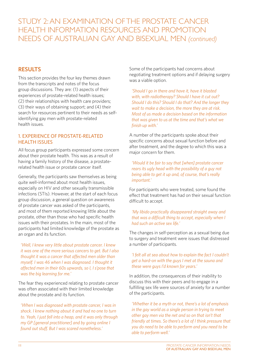#### **RESULTS**

This section provides the four key themes drawn from the transcripts and notes of the focus group discussions. They are: (1) aspects of their experiences of prostate-related health issues; (2) their relationships with health care providers; (3) their ways of obtaining support; and (4) their search for resources pertinent to their needs as selfidentifying gay men with prostate-related health issues.

#### 1. EXPERIENCE OF PROSTATE-RELATED HEALTH ISSUES

All focus group participants expressed some concern about their prostate health. This was as a result of having a family history of the disease, a prostaterelated health issue or prostate cancer itself.

Generally, the participants saw themselves as being quite well-informed about most health issues, especially on HIV and other sexually transmissible infections (STIs). However, at the start of each focus group discussion, a general question on awareness of prostate cancer was asked of the participants, and most of them reported knowing little about the prostate, other than those who had specific health issues with their prostates. In the main, most of the participants had limited knowledge of the prostate as an organ and its function.

*'Well, I knew very little about prostate cancer. I knew it was one of the more serious cancers to get. But I also thought it was a cancer that affected men older than myself. I was 46 when I was diagnosed. I thought it affected men in their 60s upwards, so I, I s'pose that was the big learning for me.'*

The fear they experienced relating to prostate cancer was often associated with their limited knowledge about the prostate and its function.

*'When I was diagnosed with prostate cancer, I was in shock. I knew nothing about it and had no one to turn to. Yeah, I just fell into a heap, and it was only through my GP [general practitioner] and by going online I found out stuff. But I was scared nonetheless.'*

Some of the participants had concerns about negotiating treatment options and if delaying surgery was a viable option.

*'Should I go in there and have it, have it blasted with, with radiotherapy? Should I have it cut out? Should I do this? Should I do that? And the longer they wait to make a decision, the more they are at risk. Most of us made a decision based on the information that was given to us at the time and that's what we finish up with.'*

A number of the participants spoke about their specific concerns about sexual function before and after treatment, and the degree to which this was a major concern for them.

*'Would it be fair to say that [when] prostate cancer rears its ugly head with the possibility of a guy not being able to get it up and, of course, that's really important.'*

For participants who were treated, some found the effect that treatment has had on their sexual function difficult to accept.

*'My libido practically disappeared straight away and that was a difficult thing to accept, especially when I had such an active sex life.'*

The changes in self-perception as a sexual being due to surgery and treatment were issues that distressed a number of participants.

*'I felt all at sea about how to explain the fact I couldn't get a hard-on with the guys I met at the sauna and these were guys I'd known for years.'*

In addition, the consequences of their inability to discuss this with their peers and to engage in a fulfilling sex life were sources of anxiety for a number of the participants.

*'Whether it be a myth or not, there's a lot of emphasis in the gay world as a single person in trying to meet other gay men via the net and so on that isn't that friendly at times. So there's a lot of I think pressure that you do need to be able to perform and you need to be able to perform well.'*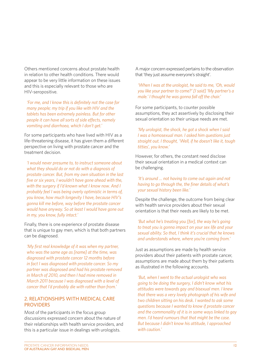Others mentioned concerns about prostate health in relation to other health conditions. There would appear to be very little information on these issues and this is especially relevant to those who are HIV-seropositive.

*'For me, and I know this is definitely not the case for many people; my trip if you like with HIV and the tablets has been extremely painless. But for other people it can have all sorts of side effects, namely vomiting and diarrhoea, which I don't get.'*

For some participants who have lived with HIV as a life-threatening disease, it has given them a different perspective on living with prostate cancer and the treatment decision.

*'I would never presume to, to instruct someone about what they should do or not do with a diagnosis of prostate cancer. But, from my own situation in the last five or six years, I wouldn't have gone ahead with the, with the surgery if I'd known what I know now. And I probably feel I was being overly optimistic in terms of, you know, how much longevity I have, because HIV's gonna kill me before, way before the prostate cancer would have anyway. So at least I would have gone out in my, you know, fully intact.'*

Finally, there is one experience of prostate disease that is unique to gay men, which is that both partners can be diagnosed.

*'My first real knowledge of it was when my partner, who was the same age as [name] at the time, was diagnosed with prostate cancer 12 months before in fact I was diagnosed with prostate cancer. So my partner was diagnosed and had his prostate removed in March of 2010, and then I had mine removed in March 2011 because I was diagnosed with a level of cancer that I'd probably die with rather than from.'*

#### 2. RELATIONSHIPS WITH MEDICAL CARE PROVIDERS

Most of the participants in the focus group discussions expressed concern about the nature of their relationships with health service providers, and this is a particular issue in dealings with urologists.

A major concern expressed pertains to the observation that 'they just assume everyone's straight'.

*'When I was at the urologist, he said to me, 'Oh, would you like your partner to come?' [I said] 'My partner's a male.' I thought he was gonna fall off the chair.'*

For some participants, to counter possible assumptions, they act assertively by disclosing their sexual orientation so their unique needs are met.

*'My urologist, the shock, he got a shock when I said I was a homosexual man. I asked him questions just straight out. I thought, 'Well, if he doesn't like it, tough titties', you know.'*

However, for others, the constant need disclose their sexual orientation in a medical context can be challenging.

*'It's around … not having to come out again and not having to go through the, the finer details of what's your sexual history been like.'*

Despite the challenge, the outcome from being clear with health service providers about their sexual orientation is that their needs are likely to be met.

*'But what he's treating you [for], the way he's going to treat you is gonna impact on your sex life and your sexual ability. So that, I think it's crucial that he knows and understands where, where you're coming from.'* 

Just as assumptions are made by health service providers about their patients with prostate cancer, assumptions are made about them by their patients as illustrated in the following accounts.

*'But, when I went to the actual urologist who was going to be doing the surgery, I didn't know what his attitudes were towards gay and bisexual men. I knew that there was a very lovely photograph of his wife and two children sitting on his desk. I wanted to ask some questions because I wanted to know if prostate cancer and the commonality of it is in some ways linked to gay men. I'd heard rumours that that might be the case. But because I didn't know his attitude, I approached with caution.'*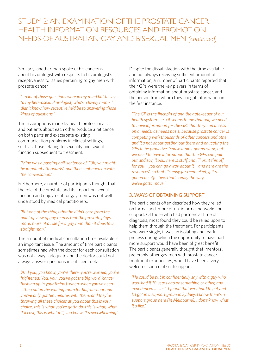Similarly, another man spoke of his concerns about his urologist with respects to his urologist's receptiveness to issues pertaining to gay men with prostate cancer.

*'…a lot of those questions were in my mind but to say to my heterosexual urologist, who's a lovely man – I didn't know how receptive he'd be to answering those kinds of questions.'*

The assumptions made by health professionals and patients about each other produce a reticence on both parts and exacerbate existing communication problems in clinical settings, such as those relating to sexuality and sexual function subsequent to treatment.

*'Mine was a passing half-sentence of, 'Oh, you might be impotent afterwards', and then continued on with the conversation.'*

Furthermore, a number of participants thought that the role of the prostate and its impact on sexual function and enjoyment for gay men was not well understood by medical practitioners.

*'But one of the things that he didn't care from the point of view of gay men is that the prostate plays more, more of a role for a gay man than it does to a straight man.'*

The amount of medical consultation time available is an important issue. The amount of time participants sometimes had with the doctor for each consultation was not always adequate and the doctor could not always answer questions in sufficient detail.

*'And you, you know, you're there, you're worried, you're frightened. You, you, you've got the big word 'cancer' flashing up in your [mind], when, when you've been sitting out in the waiting room for half-an-hour and you've only got ten minutes with them, and they're throwing all these choices at you about this is your choice, this is what you've gotta do, this is what, what it'll cost, this is what it'll, you know. It's overwhelming.'*

Despite the dissatisfaction with the time available and not always receiving sufficient amount of information, a number of participants reported that their GPs were the key players in terms of obtaining information about prostate cancer, and the person from whom they sought information in the first instance.

*'The GP is the linchpin of and the gatekeeper of our health system … So it seems to me that our, we need to have information for the GPs that they can access on a needs, as needs basis, because prostate cancer is competing with thousands of other cancers and other, and it's not about getting out there and educating the GPs to be proactive, 'cause it ain't gonna work, but we need to have information that the GPs can pull out and say, 'Look, here is stuff and I'll print this off for you – you can go away about it – and here are the resources', so that it's easy for them. And, if it's gonna be effective, that's really the way we've gotta move.'*

#### 3. WAYS OF OBTAINING SUPPORT

The participants often described how they relied on formal and, more often, informal networks for support. Of those who had partners at time of diagnosis, most found they could be relied upon to help them through the treatment. For participants who were single, it was an isolating and fearful process during which the opportunity to have had more support would have been of great benefit. The participants generally thought that 'mentors', preferably other gay men with prostate cancer treatment experiences, would have been a very welcome source of such support.

*'He could be put in confidentially say with a guy who was, had it 10 years ago or something or other, and experienced it. Just, I found that very hard to get and I, I got in a support group in Sydney. I know there's a support group here [in Melbourne]. I don't know what it's like.'*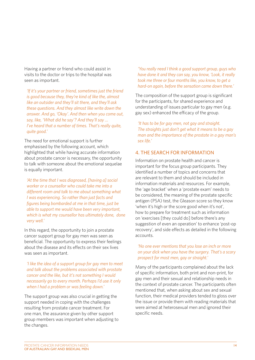Having a partner or friend who could assist in visits to the doctor or trips to the hospital was seen as important.

*'If it's your partner or friend, sometimes just the friend is good because they, they're kind of like the, almost like an outsider and they'll sit there, and they'll ask these questions. And they almost like write down the answer. And go, 'Okay'. And then when you come out, say, like, 'What did he say'? And they'll say … I've heard that a number of times. That's really quite, quite good.'*

The need for emotional support is further emphasised by the following account, which highlighted that while having accurate information about prostate cancer is necessary, the opportunity to talk with someone about the emotional sequelae is equally important.

*'At the time that I was diagnosed, [having a] social worker or a counsellor who could take me into a different room and talk to me about something what I was experiencing. So rather than just facts and figures being bombarded at me in that time, just be able to support me would have been very important, which is what my counsellor has ultimately done, done very well.'*

In this regard, the opportunity to join a prostate cancer support group for gay men was seen as beneficial. The opportunity to express their feelings about the disease and its effects on their sex lives was seen as important.

*'I like the idea of a support group for gay men to meet and talk about the problems associated with prostate cancer and the like, but it's not something I would necessarily go to every month. Perhaps I'd use it only when I had a problem or was feeling down.'*

The support group was also crucial in getting the support needed in coping with the challenges resulting from prostate cancer treatment. For one man, the assurance given by other support group members was important when adjusting to the changes.

*'You really need I think a good support group, guys who have done it and they can say, you know, 'Look, it really took me three or four months like, you know, to get a hard-on again, before the sensation came down there.'*

The composition of the support group is significant for the participants, for shared experience and understanding of issues particular to gay men (e.g. gay sex) enhanced the efficacy of the group.

*'It has to be for gay men, not gay and straight. The straights just don't get what it means to be a gay man and the importance of the prostate in a gay man's sex life.'*

#### 4. THE SEARCH FOR INFORMATION

Information on prostate health and cancer is important for the focus group participants. They identified a number of topics and concerns that are relevant to them and should be included in information materials and resources. For example, the 'age bracket' when a 'prostate exam' needs to be considered, the meaning of the prostate specific antigen (PSA) test, the Gleason score so they know 'when it's high or the score good when it's not', how to prepare for treatment such as information on 'exercises [they could do] before there's any suggestion of even an operation' to enhance 'post-op recovery', and side effects as detailed in the following accounts.

*'No one ever mentions that you lose an inch or more on your dick when you have the surgery. That's a scary prospect for most men, gay or straight.'*

Many of the participants complained about the lack of specific information, both print and non-print, for gay men and their sexual and relationship needs in the context of prostate cancer. The participants often mentioned that, when asking about sex and sexual function, their medical providers tended to gloss over the issue or provide them with reading materials that were aimed at heterosexual men and ignored their specific needs.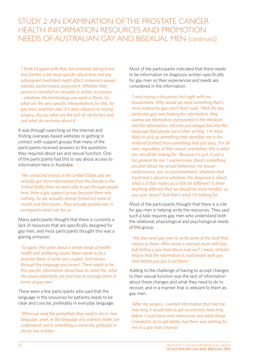STUDY 2: AN EXAMINATION OF THE PROSTATE CANCER HEALTH INFORMATION RESOURCES AND PROMOTION NEEDS OF AUSTRALIAN GAY AND BISEXUAL MEN *(continued)*

*'I think I'd agree with that, but probably taking it one step further, a bit more specific about how and any subsequent treatment might affect someone's sexual interest, performance, enjoyment. Whether that person is classified as versatile or active, or passive – whatever the terminology you want in there. So what are the very specific interpretations for this, for gay men, and then also, if it does advance to having surgery, discuss what are the sort of risk factors and, and what do we know about it.'*

It was through searching on the internet and finding overseas-based websites or getting in contact with support groups that many of the participants received answers to the questions they required about sex and sexual function. One of the participants had this to say about access to information here in Australia.

*'We contacted friends in the United States and we actually got more information from the friends in the United States than we were able to get through people here, from a gay support group, because there was nothing. So we, actually almost [relied on] word of mouth and then books. They actually posted over or arranged to send over for us.'*

Many participants thought that there is currently a lack of resources that are specifically designed for gay men, and most participants thought this was a glaring omission.

*'So again, the same about a whole range of health, health and wellbeing issues: there needs to be a pictorial there of same-sex couples. And moves through the language are correct. There needs to be this specific information about how to, what the, what the issues potentially are and how to manage them in terms of gay men.'*

There were a few participants who said that the language in the resources for patients needs to be clear and concise, preferably in everyday language.

*'When we read the pamphlets they need to be in clear language, yeah, in the language any ordinary bloke can understand, not in something a university graduate or doctor has written.'*

Most of the participants indicated that there needs to be information on diagnosis written specifically for gay men so their experiences and needs are considered in the information.

*'I was having a discussion last night with my housemates. Why would we need something that's more tailored to gay men? And I said, 'Well, for any particular gay man looking for information, they wanna see themselves represented in the literature and the information, not only just images but also the language that people use in their writing'. I'm more likely to pick up something that identifies me in the material [rather] than something that just says, 'For all men, regardless of their sexual orientation, this is what you should be looking for'. Because it's just, it just is too general for me. I wanna know: there's something peculiar about my sexual behaviour, my sexual performance, pre- or post-treatment, whatever that treatment's about or whatever the diagnosis is about, what is it that makes us a little bit different? Is there anything different that we should be more mindful, as you said, about? And that's what I'm looking for.'*

Most of the participants thought that there is a role for gay men in helping write the resources. They said such a task requires gay men who understand both the relational, physiological and psychological needs of this group.

*'We also need gay men to write some of the stuff that relates to them. Who needs a married mum with four kids telling a gay man about anal sex? I mean, at least ensure that the information is road-tested with gay men before you put it out there.'*

Adding to the challenge of having to accept changes to their sexual function was the lack of information about these changes and what they need to do to recover, and in a manner that is relevant to them as gay men.

*'After my surgery, I wanted information that told me how long it would take to get an erection, how long before I could have anal intercourse and what things I needed to do to get better, but there was nothing for me as a gay man anyway.'*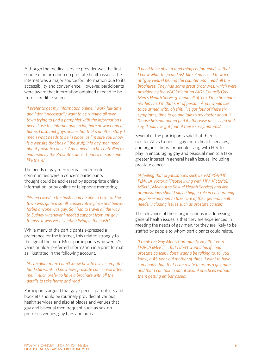Although the medical service provider was the first source of information on prostate health issues, the internet was a major source for information due to its accessibility and convenience. However, participants were aware that information obtained needed to be from a credible source.

*'I prefer to get my information online. I work full-time and I don't necessarily want to be running all over town trying to find a pamphlet with the information I need. I use the internet quite a lot, both at work and at home. I also met guys online, but that's another story. I mean what needs to be in place, as I'm sure you know is a website that has all the stuff, info gay men need about prostate cancer. And it needs to be controlled or endorsed by the Prostate Cancer Council or someone like them.'*

The needs of gay men in rural and remote communities were a concern participants thought could be addressed by appropriate online information, or by online or telephone mentoring.

*'When I lived in the bush I had no one to turn to. The town was quite a small, conservative place and heaven forbid anyone was gay. So I had to travel all the way to Sydney whenever I needed support from my gay friends. It was very isolating living in the bush.'*

While many of the participants expressed a preference for the internet, this related strongly to the age of the men. Most participants who were 75 years or older preferred information in a print format as illustrated in the following account.

*'As an older man, I don't know how to use a computer but I still want to know how prostate cancer will affect me. I much prefer to have a brochure with all the details to take home and read.'*

Participants argued that gay-specific pamphlets and booklets should be routinely provided at various health services and also at places and venues that gay and bisexual men frequent such as sex-onpremises venues, gay bars and pubs.

*'I need to be able to read things beforehand, so that I know what to go and ask him. And I used to work at [gay venue] behind the counter and I read all the brochures. They had some great brochures, which were provided by the VAC [Victorian AIDS Council/Gay Men's Health Service]. I read all of 'em. I'm a brochure reader. I'm, I'm that sort of person. And I would like to be armed with, oh shit, I've got four of these six symptoms, time to go and talk to my doctor about it. 'Cause he's not gonna find it otherwise unless I go and say, 'Look, I've got four of these six symptoms.'*

Several of the participants said that there is a role for AIDS Councils, gay men's health services, and organisations for people living with HIV to play in encouraging gay and bisexual men to a take greater interest in general health issues, including prostate cancer.

*'A feeling that organisations such as VAC/GMHC, PLWHA Victoria [People living with HIV, Victoria], MSHS [Melbourne Sexual Health Service] and like organisations should play a bigger role in encouraging gay/bisexual men to take care of their general health needs, including issues such as prostate cancer.'*

The relevance of these organisations in addressing general health issues is that they are experienced in meeting the needs of gay men, for they are likely to be staffed by people to whom participants could relate.

*'I think the Gay Men's Community Health Centre [VAC/GMHC] … But I don't wanna be, if I had prostate cancer, I don't wanna be talking to, to, you know, a 45-year-old mother of three. I want to have somebody that, that I can relate to as, as a gay man and that I can talk to about sexual practices without them getting embarrassed.'*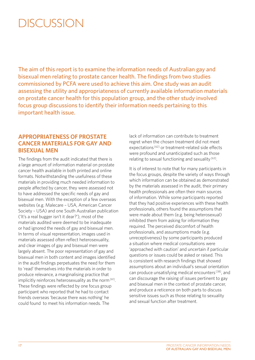## **DISCUSSION**

The aim of this report is to examine the information needs of Australian gay and bisexual men relating to prostate cancer health. The findings from two studies commissioned by PCFA were used to achieve this aim. One study was an audit assessing the utility and appropriateness of currently available information materials on prostate cancer health for this population group, and the other study involved focus group discussions to identify their information needs pertaining to this important health issue.

#### **APPROPRIATENESS OF PROSTATE CANCER MATERIALS FOR GAY AND BISEXUAL MEN**

The findings from the audit indicated that there is a large amount of information material on prostate cancer health available in both printed and online formats. Notwithstanding the usefulness of these materials in providing much needed information to people affected by cancer, they were assessed not to have addressed the specific needs of gay and bisexual men. With the exception of a few overseas websites (e.g. Malecare – USA, American Cancer Society – USA) and one South Australian publication ('It's a real bugger isn't it dear?'), most of the materials audited were deemed to be inadequate or had ignored the needs of gay and bisexual men. In terms of visual representation, images used in materials assessed often reflect heterosexuality, and clear images of gay and bisexual men were largely absent. The poor representation of gay and bisexual men in both content and images identified in the audit findings perpetuates the need for them to 'read' themselves into the materials in order to produce relevance, a marginalising practice that implicitly reinforces heterosexuality as the norm [61]. These findings were reflected by one focus group participant who reported that he had to contact friends overseas 'because there was nothing' he could found to meet his information needs. The

lack of information can contribute to treatment regret when the chosen treatment did not meet expectations<sup>[62]</sup> or treatment-related side effects were profound and unanticipated such as those relating to sexual functioning and sexuality  $[63]$ .

It is of interest to note that for many participants in the focus groups, despite the variety of ways through which information can be obtained as demonstrated by the materials assessed in the audit, their primary health professionals are often their main sources of information. While some participants reported that they had positive experiences with these health professionals, others found the assumptions that were made about them (e.g. being heterosexual) inhibited them from asking for information they required. The perceived discomfort of health professionals, and assumptions made (e.g. unreceptiveness) by some participants produced a situation where medical consultations were 'approached with caution' and uncertain if particular questions or issues could be asked or raised. This is consistent with research findings that showed assumptions about an individual's sexual orientation can produce unsatisfying medical encounters<sup>[38]</sup>, and can discourage the raising of issues pertinent to gay and bisexual men in the context of prostate cancer, and produce a reticence on both parts to discuss sensitive issues such as those relating to sexuality and sexual function after treatment.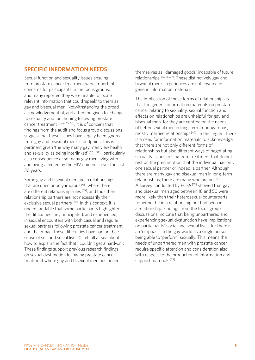#### **SPECIFIC INFORMATION NEEDS**

Sexual function and sexuality issues ensuing from prostate cancer treatment were important concerns for participants in the focus groups, and many reported they were unable to locate relevant information that could 'speak' to them as gay and bisexual men. Notwithstanding the broad acknowledgement of, and attention given to, changes to sexuality and functioning following prostate cancer treatment [9, 64, 65, 66], it is of concern that findings from the audit and focus group discussions suggest that these issues have largely been ignored from gay and bisexual men's standpoint. This is pertinent given 'the way many gay men view health and sexuality as being interlinked'  $[67, p.888]$ , particularly as a consequence of so many gay men living with and being affected by the HIV epidemic over the last 30 years.

Some gay and bisexual men are in relationships that are open or polyamorous<sup>[68]</sup> where there are different relationship rules<sup>[69]</sup>, and thus their relationship partners are not necessarily their exclusive sexual partners<sup>[70]</sup>. In this context, it is understandable that some participants highlighted the difficulties they anticipated, and experienced, in sexual encounters with both casual and regular sexual partners following prostate cancer treatment, and the impact these difficulties have had on their sense of self and social lives ('I felt all at sea about how to explain the fact that I couldn't get a hard-on'). These findings support previous research findings on sexual dysfunction following prostate cancer treatment where gay and bisexual men positioned

themselves as ''damaged goods' incapable of future relationships' [62, p.527]. These distinctively gay and bisexual men's experiences are not covered in generic information materials.

The implication of these forms of relationships is that the generic information materials on prostate cancer relating to sexuality, sexual function and effects on relationships are unhelpful for gay and bisexual men, for they are centred on the needs of heterosexual men in long-term monogamous, mostly married relationships  $[42]$ . In this regard, there is a need for information materials to acknowledge that there are not only different forms of relationships but also different ways of negotiating sexuality issues arising from treatment that do not rest on the presumption that the individual has only one sexual partner or indeed, a partner. Although there are many gay and bisexual men in long-term relationships, there are many who are not<sup>[71]</sup>. A survey conducted by PCFA [15] showed that gay and bisexual men aged between 18 and 50 were more likely than their heterosexual counterparts to neither be in a relationship nor had been in a relationship. Findings from the focus group discussions indicate that being unpartnered and experiencing sexual dysfunction have implications on participants' social and sexual lives, for there is an 'emphasis in the gay world as a single person' being able to 'perform' sexually. This means the needs of unpartnered men with prostate cancer require specific attention and consideration also with respect to the production of information and support materials<sup>[72]</sup>.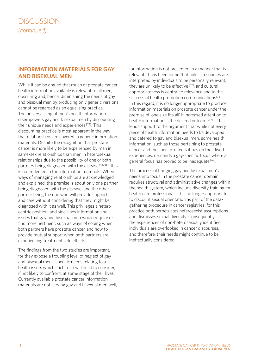#### **INFORMATION MATERIALS FOR GAY AND BISEXUAL MEN**

While it can be argued that much of prostate cancer health information available is relevant to all men, obscuring and, hence, diminishing the needs of gay and bisexual men by producing only generic versions cannot be regarded as an equalising practice. The universalising of men's health information disempowers gay and bisexual men by discounting their unique needs and experiences<sup>[73]</sup>. This discounting practice is most apparent in the way that relationships are covered in generic information materials. Despite the recognition that prostate cancer is more likely to be experienced by men in same-sex relationships than men in heterosexual relationships due to the possibility of one or both partners being diagnosed with the disease [43, 68], this is not reflected in the information materials. When ways of managing relationships are acknowledged and explained, the premise is about only one partner being diagnosed with the disease, and the other partner being the one who will provide support and care without considering that they might be diagnosed with it as well. This privileges a heterocentric position, and side-lines information and issues that gay and bisexual men would require or find more pertinent, such as ways of coping when both partners have prostate cancer, and how to provide mutual support when both partners are experiencing treatment side effects.

The findings from the two studies are important, for they expose a troubling level of neglect of gay and bisexual men's specific needs relating to a health issue, which such men will need to consider, if not likely to confront, at some stage of their lives. Currently available prostate cancer information materials are not serving gay and bisexual men well, for information is not presented in a manner that is relevant. It has been found that unless resources are interpreted by individuals to be personally relevant, they are unlikely to be effective<sup>[57]</sup>, and cultural appropriateness is central to relevance and to the success of health promotion communications<sup>[74]</sup>. In this regard, it is no longer appropriate to produce information materials on prostate cancer under the premise of 'one size fits all' if increased attention to health information is the desired outcome [75]. This lends support to the argument that while not every piece of health information needs to be developed and catered to gay and bisexual men, some health information, such as those pertaining to prostate cancer and the specific effects it has on their lived experiences, demands a gay-specific focus where a general focus has proved to be inadequate [67].

The process of bringing gay and bisexual men's needs into focus in the prostate cancer domain requires structural and administrative changes within the health system, which include diversity training for health care professionals. It is no longer appropriate to discount sexual orientation as part of the datagathering procedure in cancer registries, for this practice both perpetuates heterosexist assumptions and dismisses sexual diversity. Consequently, the experiences of non-heterosexually identified individuals are overlooked in cancer discourses, and therefore, their needs might continue to be ineffectually considered.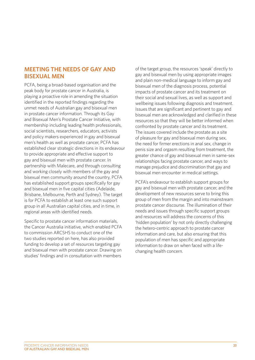#### **MEETING THE NEEDS OF GAY AND BISEXUAL MEN**

PCFA, being a broad-based organisation and the peak body for prostate cancer in Australia, is playing a proactive role in amending the situation identified in the reported findings regarding the unmet needs of Australian gay and bisexual men in prostate cancer information. Through its Gay and Bisexual Men's Prostate Cancer Initiative, with membership including leading health professionals, social scientists, researchers, educators, activists and policy makers experienced in gay and bisexual men's health as well as prostate cancer, PCFA has established clear strategic directions in its endeavour to provide appropriate and effective support to gay and bisexual men with prostate cancer. In partnership with Malecare, and through consulting and working closely with members of the gay and bisexual men community around the country, PCFA has established support groups specifically for gay and bisexual men in five capital cities (Adelaide, Brisbane, Melbourne, Perth and Sydney). The target is for PCFA to establish at least one such support group in all Australian capital cities, and in time, in regional areas with identified needs.

Specific to prostate cancer information materials, the Cancer Australia initiative, which enabled PCFA to commission ARCSHS to conduct one of the two studies reported on here, has also provided funding to develop a set of resources targeting gay and bisexual men with prostate cancer. Drawing on studies' findings and in consultation with members

of the target group, the resources 'speak' directly to gay and bisexual men by using appropriate images and plain non-medical language to inform gay and bisexual men of the diagnosis process, potential impacts of prostate cancer and its treatment on their social and sexual lives, as well as support and wellbeing issues following diagnosis and treatment. Issues that are significant and pertinent to gay and bisexual men are acknowledged and clarified in these resources so that they will be better informed when confronted by prostate cancer and its treatment. The issues covered include the prostate as a site of pleasure for gay and bisexual men during sex, the need for firmer erections in anal sex, change in penis size and orgasm resulting from treatment, the greater chance of gay and bisexual men in same-sex relationships facing prostate cancer, and ways to manage prejudice and discrimination that gay and bisexual men encounter in medical settings.

PCFA's endeavour to establish support groups for gay and bisexual men with prostate cancer, and the development of new resources serve to bring this group of men from the margin and into mainstream prostate cancer discourse. The illumination of their needs and issues through specific support groups and resources will address the concerns of this 'hidden population' by not only directly challenging the hetero-centric approach to prostate cancer information and care, but also ensuring that this population of men has specific and appropriate information to draw on when faced with a lifechanging health concern.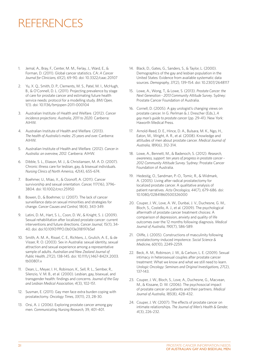## **REFERENCES**

- 1. Jemal, A., Bray, F., Center, M. M., Ferlay, J., Ward, E., & Forman, D. (2011). Global cancer statistics. CA: *A Cancer Journal for Clinicians, 61*(2), 69-90. doi: 10.3322/caac.20107
- 2. Yu, X. Q., Smith, D. P., Clements, M. S., Patel, M. I., McHugh, B., & O'Connell, D. L. (2011). Projecting prevalence by stage of care for prostate cancer and estimating future health service needs: protocol for a modelling study. *BMJ Open,* 1(1). doi: 10.1136/bmjopen-2011-000104
- 3. Australian Institute of Health and Welfare. (2012). *Cancer incidence projections: Australia, 2011 to 2020.* Canberra: AIHW.
- 4. Australian Institute of Health and Welfare. (2013). *The health of Australia's males: 25 years and over.* Canberra: AIHW.
- 5. Australian Institute of Health and Welfare. (2012). *Cancer in Australia: an overview, 2012.* Canberra: AIHW.
- 6. Dibble, S. L., Eliason, M. J., & Christiansen, M. A. D. (2007). Chronic illness care for lesbian, gay, & bisexual individuals. *Nursing Clinics of North America, 42*(4), 655-674.
- 7. Boehmer, U., Miao, X., & Ozonoff, A. (2011). Cancer survivorship and sexual orientation. *Cancer,* 117(16), 3796- 3804. doi: 10.1002/cncr.25950
- 8. Bowen, D., & Boehmer, U. (2007). The lack of cancer surveillance data on sexual minorities and strategies for change. *Cancer Causes and Control,* 18(4), 343-349.
- 9. Latini, D. M., Hart, S. L., Coon, D. W., & Knight, S. J. (2009). Sexual rehabilitation after localized prostate cancer: current interventions and future directions. *Cancer Journal,* 15(1), 34- 40. doi: doi:10.1097/PPO.0b013e31819765ef
- 10. Smith, A. M. A., Rissel, C. E., Richters, J., Grulich, A. E., & de Visser, R. O. (2003). Sex in Australia: sexual identity, sexual attraction and sexual experience among a representative sample of adults. *Australian and New Zealand Journal of Public Health, 27*(2), 138-145. doi: 10.1111/j.1467-842X.2003. tb00801.x
- 11. Dean, L., Meyer, I. H., Robinson, K., Sell, R. L., Sember, R., Silenzio, V. M. B., et al. (2000). Lesbian, gay, bisexual, and transgender health: findings and concerns. *Journal of the Gay and Lesbian Medical Association, 4*(3), 102-151.
- 12. Susman, E. (2011). Gay men face extra burden coping with prostatectomy. *Oncology Times, 33*(11), 23, 28-30.
- 13. Orsi, A. J. (2006). Exploring prostate cancer among gay men. *Communicating Nursing Research,* 39, 401-401.
- 14. Black, D., Gates, G., Sanders, S., & Taylor, L. (2000). Demographics of the gay and lesbian population in the United States: Evidence from available systematic data sources. *Demography, 37*(2), 139-154. doi: 10.2307/2648117
- 15. Lowe, A., Wong, T., & Lowe, S. (2013). *Prostate Cancer: the Next Generation - 2013 Community Attitude Survey*. Sydney: Prostate Cancer Foundation of Australia.
- 16. Cornell, D. (2005). A gay urologist's changing views on prostate cancer. In G. Perlman & J. Drescher (Eds.), *A gay man's guide to prostate cancer* (pp. 29-41). New York: Haworth Medical Press.
- 17. Arnold-Reed, D. E., Hince, D. A., Bulsara, M. K., Ngo, H., Eaton, M., Wright, A. R., et al. (2008). Knowledge and attitudes of men about prostate cancer. *Medical Journal of Australia, 189*(6), 312-314.
- 18. Lowe, A., Bennett, M., & Badenoch, S. (2012). *Research, awareness, support: ten years of progress in prostate cancer - 2012 Community Attitude Survey.* Sydney: Prostate Cancer Foundation of Australia.
- 19. Hedestig, O., Sandman, P.-O., Tomic, R., & Widmark, A. (2005). Living after radical prostatectomy for localized prostate cancer. A qualitative analysis of patient narratives. *Acta Oncologica, 44*(7), 679-686. doi: 10.1080/02841860500326000
- 20. Couper, J. W., Love, A. W., Dunbai, J. V., Duchesne, G. M., Bloch, S., Costello, A. J., et al. (2009). The psychological aftermath of prostate cancer treatment choices: A comparison of depression, anxiety and quality of life outcomes over the 12 months following diagnosis. *Medical Journal of Australia, 190*(7), S86-S89.
- 21. Oliffe, J. (2005). Constructions of masculinity following prostatectomy-induced impotence. *Social Science & Medicine, 60*(10), 2249-2259.
- 22. Beck, A. M., Robinson, J. W., & Carlson, L. E. (2009). Sexual intimacy in heterosexual couples after prostate cancer treatment: What we know and what we still need to learn. *Urologic Oncology: Seminars and Original Investigations, 27*(2), 137-143.
- 23. Couper, J. W., Bloch, S., Love, A., Duchesne, G., Macvean, M., & Kissane, D. W. (2006). The psychosocial impact of prostate cancer on patients and their partners. *Medical Journal of Australia, 185*(8), 428-432.
- 24. Couper, J. W. (2007). The effects of prostate cancer on intimate relationships. *The Journal of Men's Health & Gender, 4*(3), 226-232.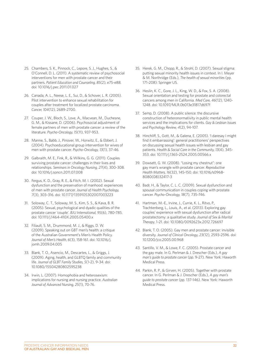- 25. Chambers, S. K., Pinnock, C., Lepore, S. J., Hughes, S., & O'Connell, D. L. (2011). A systematic review of psychosocial interventions for men with prostate cancer and their partners. *Patient Education and Counseling, 85*(2), e75-e88. doi: 10.1016/j.pec.2011.01.027
- 26. Canada, A. L., Neese, L. E., Sui, D., & Schover, L. R. (2005). Pilot intervention to enhance sexual rehabilitation for couples after treatment for localized prostate carcinoma. *Cancer, 104*(12), 2689-2700.
- 27. Couper, J. W., Bloch, S., Love, A., Macvean, M., Duchesne, G. M., & Kissane, D. (2006). Psychosocial adjustment of female partners of men with prostate cancer: a review of the literature. *Psycho-Oncology, 15*(11), 937-953.
- 28. Manne, S., Babb, J., Pinover, W., Horwitz, E., & Ebbert, J. (2004). Psychoeducational group intervention for wives of men with prostate cancer. *Psycho-Oncology, 13*(1), 37-46.
- 29. Galbraith, M. E., Fink, R., & Wilkins, G. G. (2011). Couples surviving prostate cancer: challenges in their lives and relationships. *Seminars in Oncology Nursing, 27*(4), 300-308. doi: 10.1016/j.soncn.2011.07.008
- 30. Fergus, K. D., Gray, R. E., & Fitch, M. I. (2002). Sexual dysfunction and the preservation of manhood: experiences of men with prostate cancer. *Journal of Health Psychology, 7*(3), 303-316. doi: 10.1177/1359105302007003223
- 31. Soloway, C. T., Soloway, M. S., Kim, S. S., & Kava, B. R. (2005). Sexual, psychological and dyadic qualities of the prostate cancer 'couple'. *BJU International, 95*(6), 780-785. doi: 10.1111/j.1464-410X.2005.05400.x
- 32. Filiault, S. M., Drummond, M. J., & Riggs, D. W. (2009). Speaking out on GBT men's health: a critique of the Australian Government's Men's Health Policy. *Journal of Men's Health, 6*(3), 158-161. doi: 10.1016/j. jomh.2009.04.005
- 33. Blank, T. O., Asencio, M., Descartes, L., & Griggs, J. (2009). Aging, health, and GLBTQ family and community life. *Journal of GLBT Family Studies, 5*(1-2), 9-34. doi: 10.1080/15504280802595238
- 34 Irwin, L. (2007). Homophobia and heterosexism: implications for nursing and nursing practice. *Australian Journal of Advanced Nursing, 25*(1), 70-76.
- 35. Herek, G. M., Chopp, R., & Strohl, D. (2007). Sexual stigma: putting sexual minority health issues in context. In I. Meyer & M. Northridge (Eds.), *The health of sexual minorities* (pp. 171-208): Springer US.
- 36. Heslin, K. C., Gore, J. L., King, W. D., & Fox, S. A. (2008). Sexual orientation and testing for prostate and colorectal cancers among men in California. *Med Care, 46*(12), 1240- 1248. doi: 10.1097/MLR.0b013e31817d697f
- 37. Semp, D. (2008). A public silence: the discursive construction of heteronormativity in public mental health services and the implications for clients. *Gay & Lesbian Issues and Psychology Review, 4*(2), 94-107.
- 38. Hinchliff, S., Gott, M., & Galena, E. (2005). 'I daresay I might find it embarrassing': general practitioners' perspectives on discussing sexual health issues with lesbian and gay patients. *Health & Social Care in the Community, 13*(4), 345- 353. doi: 10.1111/j.1365-2524.2005.00566.x
- 39. Dowsett, G. W. (2008). "Losing my chestnut": one gay man's wrangle with prostate cancer. *Reproductive Health Matters, 16*(32), 145-150. doi: 10.1016/s0968- 8080(08)32417-3
- 40. Badr, H., & Taylor, C. L. C. (2009). Sexual dysfunction and spousal communication in couples coping with prostate cancer. *Psycho-Oncology, 18*(7), 735-746.
- 41. Hartman, M.-E., Irvine, J., Currie, K. L., Ritvo, P., Trachtenberg, L., Louis, A., et al. (2013). Exploring gay couples' experience with sexual dysfunction after radical prostatectomy: a qualitative study. *Journal of Sex & Marital Therapy*, 1-21. doi: 10.1080/0092623x.2012.726697
- 42. Blank, T. O. (2005). Gay men and prostate cancer: invisible diversity. *Journal of Clinical Oncology, 23*(12), 2593-2596. doi: 10.1200/jco.2005.00.968
- 43. Santillo, V. M., & Lowe, F. C. (2005). Prostate cancer and the gay male. In G. Perlman & J. Drescher (Eds.), *A gay man's guide to prostate cancer* (pp. 9-27). New York: Haworth Medical Press.
- 44. Parkin, R. P., & Girven, H. (2005). Together with prostate cancer. In G. Perlman & J. Drescher (Eds.), *A gay man's guide to prostate cancer* (pp. 137-146). New York: Haworth Medical Press.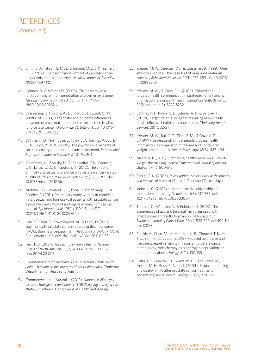#### **REFERENCES** *(continued)*

- 45. Smith, J. A., Filiault, S. M., Drummond, M. J., & Knapman, R. J. (2007). The psychosocial impact of prostate cancer on patients and their partners. *Medical Journal of Australia, 186*(3), 159-160.
- 46. Holmes, D., & Warner, D. (2005). The anatomy of a forbidden desire: men, penetration and semen exchange. *Nursing Inquiry, 12*(1), 10-20. doi: 10.1111/j.1440- 1800.2005.00252.x
- 47. Wassersug, R. J., Lyons, A., Duncan, D., Dowsett, G. W., & Pitts, M. (2013). Diagnostic and outcome differences between heterosexual and nonheterosexual men treated for prostate cancer. *Urology, 82*(3), 565-571. doi: 10.1016/j. urology.2013.04.022
- 48. Wittmann, D., Northouse, L., Foley, S., Gilbert, S., Wood, D. P., Jr., Balon, R., et al. (2009). The psychosocial aspects of sexual recovery after prostate cancer treatment. *International Journal of Impotence Research, 21*(2), 99-106.
- 49. Kleinmann, N., Zaorsky, N. G., Showalter, T. N., Gomella, L. G., Lallas, C. D., & Trabulsi, E. J. (2012). The effect of ethnicity and sexual preference on prostate-cancer-related quality of life. *Nature Reviews Urology, 9*(5), 258-265. doi: 10.1038/nrurol.2012.56
- 50. Motofei, I. G., Rowland, D. L., Popa, F., Kreienkamp, D., & Paunica, S. (2011). Preliminary study with bicalutamide in heterosexual and homosexual patients with prostate cancer: a possible implication of androgens in male homosexual arousal. *Bju International, 108*(1), 110-115. doi: DOI 10.1111/j.1464-410X.2010.09764.x
- 51. Hart, S., Coon, D., Kowalkowski, M., & Latini, D. (2011). Gay men with prostate cancer report significantly worse HRQoL than heterosexual men. *The Journal of Urology, 185*(4, Supplement), e68-e69. doi: 10.1016/j.juro.2011.02.231
- 52. Ferri, R. S. (2004). Issues in gay men's health. *Nursing Clinics of North America, 39*(2), 403-410. doi: 10.1016/j. cnur.2004.02.003
- 53. Commonwealth of Australia. (2010). *National male health policy - building on the strengths of Australian males.* Canberra: Department of Health and Ageing.
- 54. Commonwealth of Australia. (2012). *National lesbian, gay, bisexual, transgender and intersex (LGBTI) ageing and aged care strategy.* Canberra: Department of Health and Ageing.
- 55. Kreuter, M. W., Strecher, V. J., & Glassman, B. (1999). One size does not fit all: the case for tailoring print materials. *Annals of Behavioral Medicine, 21*(4), 276-283. doi: 10.1007/ bf02895958
- 56. Kreuter, M. W., & Wray, R. J. (2003). Tailored and targeted health communication: strategies for enhancing information relevance. *American Journal of Health Behavior, 27*(Supplement 3), S227-S232.
- 57. Schmid, K. L., Rivers, S. E., Latimer, A. E., & Salovey, P. (2008). Targeting or tailoring? Maximizing resources to create effective health communications. *Marketing Health Services, 28*(1), 32-37.
- 58. Kreuter, M. W., Bull, F. C., Clark, E. M., & Oswald, D. L. (1999). Understanding how people process health information: a comparison of tailored and nontailored weight-loss materials. *Health Psychology, 18*(5), 487-494.
- 59. Myers, R. E. (2010). Promoting healthy behaviors: How do we get the message across? *International journal of nursing studies, 47*(4), 500-512.
- 60. Schutt, R. K. (2006). *Investigating the social world: the process and practice of research* (5th ed.). Thousand Oakes: Sage.
- 61. Johnson, C. (2002). Heteronormative citizenship and the politics of passing. *Sexualities, 5*(3), 317-336. doi: 10.1177/1363460702005003004
- 62. Thomas, C., Wootten, A., & Robinson, P. (2013). The experiences of gay and bisexual men diagnosed with prostate cancer: results from an online focus group. *European Journal of Cancer Care, 22*(4), 522-529. doi: 10.1111/ ecc.12058
- 63. Parekh, A., Chen, M.-H., Hoffman, K. E., Choueiri, T. K., Hu, J. C., Bennett, C. L., et al. (2013). Reduced penile size and treatment regret in men with recurrent prostate cancer after surgery, radiotherapy plus androgen deprivation, or radiotherapy alone. *Urology, 81*(1), 130-135.
- 64. Dahn, J. R., Penedo, F. J., Gonzalez, J. S., Esquiabro, M., Antoni, M. H., Roos, B. A., et al. (2004). Sexual functioning and quality of life after prostate cancer treatment: considering sexual desire. *Urology, 63*(2), 273-277.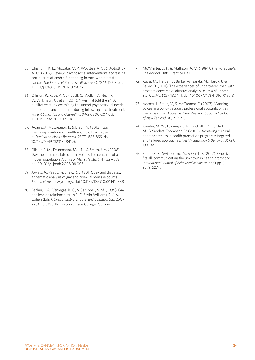- 65. Chisholm, K. E., McCabe, M. P., Wootten, A. C., & Abbott, J.- A. M. (2012). Review: psychosocial interventions addressing sexual or relationship functioning in men with prostate cancer. *The Journal of Sexual Medicine, 9*(5), 1246-1260. doi: 10.1111/j.1743-6109.2012.02687.x
- 66. O'Brien, R., Rose, P., Campbell, C., Weller, D., Neal, R. D., Wilkinson, C., et al. (2011). "I wish I'd told them": A qualitative study examining the unmet psychosexual needs of prostate cancer patients during follow-up after treatment. *Patient Education and Counseling, 84*(2), 200-207. doi: 10.1016/j.pec.2010.07.006
- 67. Adams, J., McCreanor, T., & Braun, V. (2013). Gay men's explanations of health and how to improve it. *Qualitative Health Research, 23*(7), 887-899. doi: 10.1177/1049732313484196
- 68. Filiault, S. M., Drummond, M. J. N., & Smith, J. A. (2008). Gay men and prostate cancer: voicing the concerns of a hidden population. *Journal of Men's Health, 5*(4), 327-332. doi: 10.1016/j.jomh.2008.08.005
- 69. Jowett, A., Peel, E., & Shaw, R. L. (2011). Sex and diabetes: a thematic analysis of gay and bisexual men's accounts. *Journal of Health Psychology.* doi: 10.1177/1359105311412838
- 70. Peplau, L. A., Veniegas, R. C., & Campbell, S. M. (1996). Gay and lesbian relationships. In R. C. Savin-Williams & K. M. Cohen (Eds.), *Lives of Lesbians, Gays, and Bisexuals* (pp. 250- 273). Fort Worth: Harcourt Brace College Publishers.
- 71. McWhirter, D. P., & Mattison, A. M. (1984). *The male couple.*  Englewood Cliffs: Prentice Hall.
- 72. Kazer, M., Harden, J., Burke, M., Sanda, M., Hardy, J., & Bailey, D. (2011). The experiences of unpartnered men with prostate cancer: a qualitative analysis. *Journal of Cancer Survivorship, 5*(2), 132-141. doi: 10.1007/s11764-010-0157-3
- 73. Adams, J., Braun, V., & McCreanor, T. (2007). Warning voices in a policy vacuum: professional accounts of gay men's health in Aotearoa New Zealand. *Social Policy Journal of New Zealand, 30*, 199-215.
- 74. Kreuter, M. W., Lukwago, S. N., Bucholtz, D. C., Clark, E. M., & Sanders-Thompson, V. (2003). Achieving cultural appropriateness in health promotion programs: targeted and tailored approaches. *Health Education & Behavior, 30*(2), 133-146.
- 75. Pedruzzi, R., Swinbourne, A., & Quirk, F. (2012). One size fits all: communicating the unknown in health promotion. *International Journal of Behavioral Medicine, 19*(Supp 1), S273-S274.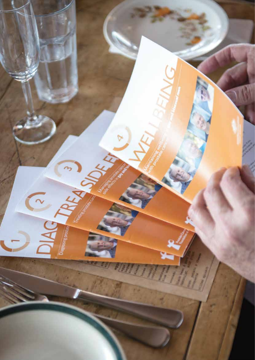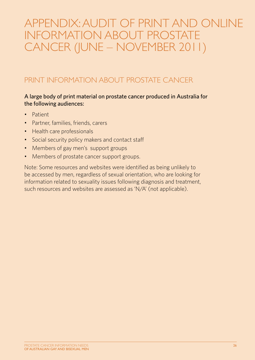### APPENDIX: AUDIT OF PRINT AND ONLINE INFORMATION ABOUT PROSTATE CANCER (JUNE – NOVEMBER 2011)

#### PRINT INFORMATION ABOUT PROSTATE CANCER

#### A large body of print material on prostate cancer produced in Australia for the following audiences:

- Patient
- Partner, families, friends, carers
- Health care professionals
- Social security policy makers and contact staff
- Members of gay men's support groups
- Members of prostate cancer support groups.

Note: Some resources and websites were identified as being unlikely to be accessed by men, regardless of sexual orientation, who are looking for information related to sexuality issues following diagnosis and treatment, such resources and websites are assessed as 'N/A' (not applicable).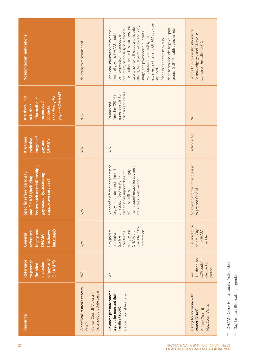| Notes/Recommendations                                                                                                                 | No changes recommended.                                                                              | experience of gay and OHAM could be<br>effects, sexual performance and body<br>the sections on families, partners and<br>carers, hormone therapy and its side<br>Need to provide links to gay support<br>groups, GLBT <sup>##</sup> health agencies, etc.<br>document, particularly in relation to<br>Additional information to meet the<br>image, and psychosocial supports<br>needs of gay and OHAM should<br>be incorporated throughout the<br>More quotations reflecting the<br>Friendships as care networks.<br>included. | Provide links to specific information.<br>Acknowledge gay and OHAM in<br>section on Sexuality (p.31). |
|---------------------------------------------------------------------------------------------------------------------------------------|------------------------------------------------------------------------------------------------------|--------------------------------------------------------------------------------------------------------------------------------------------------------------------------------------------------------------------------------------------------------------------------------------------------------------------------------------------------------------------------------------------------------------------------------------------------------------------------------------------------------------------------------|-------------------------------------------------------------------------------------------------------|
| <b>EMAHO pue As 8</b><br>Are there links<br>specifically for<br>information/<br>resources<br>to further<br>contacts                   | $\frac{4}{2}$                                                                                        | partners and carers.<br>appears in Ch.11 on<br>Drescher (2005)<br>Perlman and                                                                                                                                                                                                                                                                                                                                                                                                                                                  | $\frac{\dot{\mathrm{o}}}{\mathrm{Z}}$                                                                 |
| Are there<br>images of<br>inclusive<br><b>OHAM?</b><br><b>Bay</b> and                                                                 | $\underset{\text{N}}{\leq}$                                                                          | $\underset{\text{N}}{\leq}$                                                                                                                                                                                                                                                                                                                                                                                                                                                                                                    | Cartoons. No.                                                                                         |
| issues such as relationships,<br>Specific reference to gay<br>gay sexuality, accessing<br>and OHAM (including<br>supportive services) | $\frac{4}{2}$                                                                                        | No specific information addressed<br>men, support groups for gay men,<br>to gay men; side effects, impact<br>refer to specific support for gay<br>psychosocial support does not<br>of radiation; Section 9.3.7 -<br>access information.<br>bue                                                                                                                                                                                                                                                                                 | No specific information addressed<br>to gay and OHAM.                                                 |
| to gay and<br>language)<br><b>Cinclusive</b><br>reference<br>General<br><b>OHAM</b>                                                   | $\sum_{i=1}^{n}$                                                                                     | invisible in the<br>Designed to<br>information.<br>but gay and<br>OHAM are<br>care team),<br>be neutral<br>(partner,                                                                                                                                                                                                                                                                                                                                                                                                           | Designed to be<br>neutral. Gay<br>and OHAM<br>invisible.                                              |
| Reference<br>of gay and<br>to partner<br><b>OHAM<sup>#1</sup>)</b><br>inclusion<br><b>Cimplied</b>                                    | $\sum_{i=1}^{n}$                                                                                     | Yes.                                                                                                                                                                                                                                                                                                                                                                                                                                                                                                                           | p.25 could be<br>'Husband' on<br>changed to<br>partner.<br>Yes.                                       |
| Resource                                                                                                                              | A brief look at men's cancers<br>facts about prostate cancer<br>Cancer Council, Victoria -<br>(n.d.) | Advanced prostate cancer<br>a guide for men and their<br>Cancer Council Australia<br>families (2009)                                                                                                                                                                                                                                                                                                                                                                                                                           | Caring for someone with<br>New South Wales<br>Cancer Council<br>cancer (2009)                         |

OHAM - Other Homosexually Active Men †† OHAM – Other Homosexually Active Men Gay, Lesbian, Bisexual, Transgender

‡‡ Gay, Lesbian, Bisexual, Transgender

 $\frac{d\phi}{d\phi}$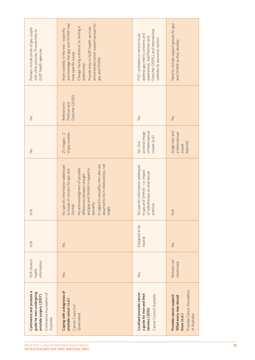| Perhaps include photo of gay couple<br>with other pictures. Provide links to<br>GLBT health agencies.                     | acknowledge that gay and OHAM may<br>and prostate cancer support groups for<br>Change 'facing a divorce' to 'ending a<br>Provide links to GLBT health services<br>More visibility in the text - explicitly<br>have specific issues.<br>gay and OHAM.<br>relationship'.<br>Drescher (2005).<br>Reference to<br>Perlman and | Drescher (2005), and international<br>address gay men's concerns and<br>P.52 - problems in rectum could<br>experiences. Add Perlman and<br>websites to resources section. | Need to include support groups for gay<br>and OHAM as they develop.                                            |
|---------------------------------------------------------------------------------------------------------------------------|---------------------------------------------------------------------------------------------------------------------------------------------------------------------------------------------------------------------------------------------------------------------------------------------------------------------------|---------------------------------------------------------------------------------------------------------------------------------------------------------------------------|----------------------------------------------------------------------------------------------------------------|
| $\frac{\circ}{\mathsf{Z}}$                                                                                                |                                                                                                                                                                                                                                                                                                                           | $\frac{\dot{\rm o}}{\rm Z}$                                                                                                                                               | $\frac{\dot{\mathsf{O}}}{\mathsf{Z}}$                                                                          |
| $\frac{\circ}{\sim}$                                                                                                      | of gay couples.<br>$20$ images $-2$                                                                                                                                                                                                                                                                                       | of heterosexual<br>pictorial image<br>couple (p.4).<br>No. One                                                                                                            | Single men and<br>a heterosexual<br>featured.<br>couple                                                        |
| $\sum_{i=1}^{n}$                                                                                                          | assumed to be in relationships, not<br>In regard to sexuality, men also are<br>No specific information addressed<br>No acknowledgment of possible<br>and gay and OHAM in regard to<br>to issues of concern for gay and<br>differences between straight<br>sexuality.<br>OHAM.<br>single.                                  | No specific information addressed<br>to gay and OHAM - i.e. impact<br>of radiotherapy on anal sexual<br>practice.                                                         | $\sum_{i=1}^{n}$                                                                                               |
| $\sum_{i=1}^{n}$                                                                                                          | $\frac{\dot{\rm o}}{\rm Z}$                                                                                                                                                                                                                                                                                               | Designed to be<br>neutral.                                                                                                                                                | $\frac{\dot{\rm o}}{\rm Z}$                                                                                    |
| N/A Generic<br>information.<br>health                                                                                     | Yes.                                                                                                                                                                                                                                                                                                                      | Yes.                                                                                                                                                                      | Partners not<br>mentioned.                                                                                     |
| Continence and prostate a<br>guide for men undergoing<br>Continence Foundation of<br>prostate surgery (2007)<br>Australia | Coping with a diagnosis of<br>prostate cancer (n.d.)<br>Cancer Council of<br>Queensland                                                                                                                                                                                                                                   | Localised prostate cancer<br>a guide for men and their<br>Cancer Council Australia<br>families (2010)                                                                     | Prostate Cancer Foundation<br>Prostate cancer support:<br>What every man should<br>of Australia<br>know (n.d.) |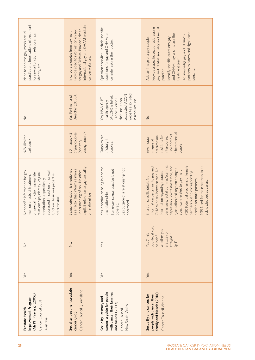| practice and implications of treatment<br>Need to address gay men's sexual<br>for sexual function, relationships,<br>identity, etc.                                                                                                                      | international gay and OHAM prostate<br>for gay and OHAM. Provide links to<br>Provide specific information on sex<br>Incorporate quotes from gay men.<br>cancer websites. | Question checklist - include specific<br>questions for gay and OHAM to<br>consider asking their doctor.                                                  | Provide a specific section addressing<br>gay and OHAM sexuality and sexual<br>and OHAM may wish to ask their<br>partners as carers and significant<br>Acknowledge gay and OHAM's<br>Identify specific questions gay<br>Add an image of a gay couple.<br>treatment team.<br>practice.<br>persons.                                                                                                                                                         |
|----------------------------------------------------------------------------------------------------------------------------------------------------------------------------------------------------------------------------------------------------------|--------------------------------------------------------------------------------------------------------------------------------------------------------------------------|----------------------------------------------------------------------------------------------------------------------------------------------------------|----------------------------------------------------------------------------------------------------------------------------------------------------------------------------------------------------------------------------------------------------------------------------------------------------------------------------------------------------------------------------------------------------------------------------------------------------------|
| $\frac{\circ}{\mathbb{Z}}$                                                                                                                                                                                                                               | Drescher (2005)<br>Yes. Perlman and                                                                                                                                      | website also listed<br>suggested. ACON<br>(ACON) is listed<br>Yes, NSW GLBT<br>Cancer Council<br>Helpline is also<br>in resource list.<br>health agency  | $\frac{\circ}{\mathbb{Z}}$                                                                                                                                                                                                                                                                                                                                                                                                                               |
| N/A (limited<br>cartoons)                                                                                                                                                                                                                                | of gay couples<br>young couple).<br>30 images - 2<br>(one very                                                                                                           | Graphics are<br>of straight<br>couples.                                                                                                                  | a heterosexual<br>One photo of<br>Seven drawn<br>heterosexual<br>positions for<br>intercourse.<br>images of<br>couple.                                                                                                                                                                                                                                                                                                                                   |
| No specific information for gay<br>addressed in section on sexual<br>on sexual function, sexual life,<br>relationships, identity. Vaginal<br>function. Assumes patient is<br>men on effects of treatment<br>penetration is specifically<br>heterosexual. | explicit reference to gay sexuality<br>as a factor that informs a man's<br>Sexual orientation is mentioned<br>understanding of sex. No other<br>or relationships.        | Yes, a section on being in a same-<br>Sex outside of a relationship not<br>Same-sex sexual practice is not<br>sex relationship.<br>addressed<br>covered. | penis size, rectal burning/scarring,<br>P.30 Potential problems of female<br>P.39 Need for male partners to be<br>depression, low testosterone, and<br>information pertaining to gay and<br>OHAM or sex between men. No<br>ejaculation and orgasm changes<br>specifically related to gay men.<br>partners but no corresponding<br>information regarding reduced<br>Short on specific detail. No<br>section for male partners.<br>acknowledged as carers. |
| $\frac{\dot{\rm o}}{\rm Z}$                                                                                                                                                                                                                              | $\frac{1}{2}$                                                                                                                                                            | Yes.                                                                                                                                                     | booklet should<br>whether you<br>aregay or<br>Yes ('This<br>straight'<br>be helpful<br>$(p.1)$ .                                                                                                                                                                                                                                                                                                                                                         |
| Yes.                                                                                                                                                                                                                                                     | Yes.                                                                                                                                                                     | Yes.                                                                                                                                                     | Yes.                                                                                                                                                                                                                                                                                                                                                                                                                                                     |
| (Mr PHIP series) (2006)<br>Improvement Program<br>Cancer Council South<br>Prostate Health<br>Australia                                                                                                                                                   | Sex after treatment prostate<br>Cancer Council Queensland<br>cancer (n.d.)                                                                                               | cancer: a guide for people<br>with cancer, their families<br>Sexuality, intimacy and<br>and friends (2009)<br>New South Wales<br>Cancer Council          | family and friends (2010)<br>Sexuality and cancer: for<br>people with cancer, their<br>Cancer Council Victoria                                                                                                                                                                                                                                                                                                                                           |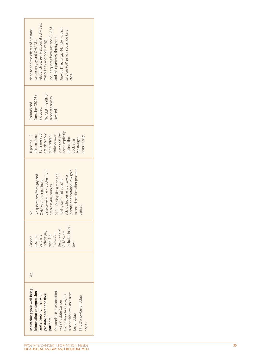| relationships, sex lives, social activities,<br>nclude quotes from gay and OHAM,<br>Provide links to gay-friendly medical<br>Need to address effects of prostate<br>services (GP, psych, social workers<br>and their partners, throughout.<br>masculinity and body image.<br>cancer on gay and OHAM's<br>etc.). |
|-----------------------------------------------------------------------------------------------------------------------------------------------------------------------------------------------------------------------------------------------------------------------------------------------------------------|
| No GLBT health or<br>Drescher (2005)<br>support services<br>Perlman and<br>included.<br>advised.                                                                                                                                                                                                                |
| cover implicitly<br>1 of 2 men but<br>couple on the<br>not clear they<br>of men alone,<br>Heterosexual<br>11 photos - 2<br>couples only.<br>are a couple.<br>defines the<br>for straight<br>booklet as                                                                                                          |
| to sexual practice after prostate<br>despite very many quotes from<br>identity or orientation in regard<br>P.12 - 'Feeling like a man and<br>No quotations from gay and<br>acknowledgement of sexual<br>having sex' - not specific<br>OHAM or their partners,<br>heterosexual couples.<br>cancer.<br>ž          |
| included in the<br>chat gay and<br><b>JHAM</b> are<br>nclude gay<br>ndication<br>men. No<br>partners<br>assume<br>Cannot<br>text.                                                                                                                                                                               |
| Yes.                                                                                                                                                                                                                                                                                                            |
| Maintaining your well-being:<br>(beyondblue in association<br>information on depression<br>free booklet available from<br>prostate cancer and their<br>Foundation Australia) - a<br>and anxiety for men with<br>nttp://www.beyondblue.<br>with Prostate Cancer<br>beyondblue<br>partners<br><b>Drg.au</b>       |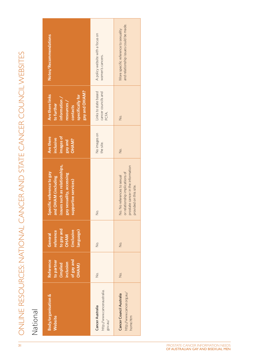ONLINE RESOURCES: NATIONAL CANCER AND STATE CANCER COUNCIL WEBSITES ONLINE RESOURCES: NATIONAL CANCER AND STATE CANCER COUNCIL WEBSITES

# National

| <b>Body/organisation &amp;</b><br><b>Website</b>                  | Reference<br>of gay and<br>to partner<br><b>inclusion</b><br>(implied<br>OHAM) | to gay and<br>(inclusive<br>(agengue)<br>reference<br>General<br><b>OHAM</b> | issues such as relationships,<br>Specific reference to gay<br>gay sexuality, accessing<br>and OHAM (including<br>supportive services)       | images of<br>Are there<br><b>inclusive</b><br><b>OHAM?</b><br><b>bue <i>k</i>e</b> | <b>SMAHO pue Aes</b><br>Are there links<br>specifically for<br>information/<br>resources/<br>to further<br>contacts | Notes/Recommendations                                                          |
|-------------------------------------------------------------------|--------------------------------------------------------------------------------|------------------------------------------------------------------------------|---------------------------------------------------------------------------------------------------------------------------------------------|------------------------------------------------------------------------------------|---------------------------------------------------------------------------------------------------------------------|--------------------------------------------------------------------------------|
| http://www.canceraustralia.<br>Cancer Australia<br>/pe.vo8        | $\frac{1}{2}$                                                                  | $\frac{\dot{\rm o}}{\rm Z}$                                                  | $\frac{\dot{\rm o}}{\rm Z}$                                                                                                                 | No images on<br>the site.                                                          | Links to state based<br>cancer councils and<br>PCFA.                                                                | A policy website with a focus on<br>women's cancers.                           |
| http://www.cancer.org.au/<br>Cancer Council Australia<br>home.htm | $\frac{1}{2}$                                                                  | $\frac{1}{2}$                                                                | prostate cancer in the information<br>or relationship implications of<br>No references to sexual<br>provided on this site.<br>$\frac{1}{2}$ | $\frac{1}{2}$                                                                      | $\frac{1}{2}$                                                                                                       | and relationship issues could be made.<br>More specific reference to sexuality |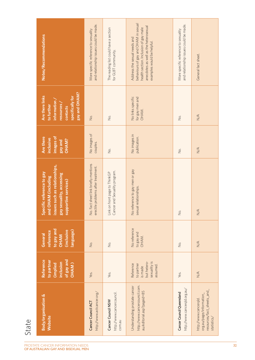| <b>Body/organisation &amp;</b><br>Website                                                      | of gay and<br>Reference<br>to partner<br>inclusion<br><b>OHAM</b><br>(implied | to gay and<br><b>Cinclusive</b><br>language)<br>reference<br>General<br><b>OHAM</b> | issues such as relationships,<br>Specific reference to gay<br>gay sexuality, accessing<br>and OHAM (including<br>supportive services) | images of<br>Are there<br>inclusive<br>OHAM?<br><b>bue</b> ke8 | <b>EWAHO pue Ass</b><br>specifically for<br>Are there links<br>information,<br>resources<br>to further<br>contacts | Notes/Recommendations                                                                                                                                                                |
|------------------------------------------------------------------------------------------------|-------------------------------------------------------------------------------|-------------------------------------------------------------------------------------|---------------------------------------------------------------------------------------------------------------------------------------|----------------------------------------------------------------|--------------------------------------------------------------------------------------------------------------------|--------------------------------------------------------------------------------------------------------------------------------------------------------------------------------------|
| http://www.actcancer.org/<br>Cancer Council ACT                                                | Yes.                                                                          | δ.                                                                                  | No. Fact sheet link briefly mentions<br>erectile problems after treatment.                                                            | No images of<br>couples.                                       | $\frac{\dot{\mathrm{o}}}{\mathrm{Z}}$                                                                              | and relationship issues could be made.<br>More specific reference to sexuality                                                                                                       |
| http://www.cancercouncil.<br>Cancer Council NSW<br>com.au                                      | Yes.                                                                          | $\frac{\dot{\mathrm{o}}}{\mathrm{Z}}$                                               | Cancer and Sexuality program.<br>Link on front page to ThinkGP                                                                        | $\frac{\dot{\mathrm{o}}}{\mathrm{Z}}$                          | $\frac{\dot{\mathrm{o}}}{\mathrm{Z}}$                                                                              | The reading list could have a section<br>for GLBT community.                                                                                                                         |
| http://www.cancercouncil.com.<br>Understanding prostate cancer<br>au/editorial.asp?pageid=85   | but hetero-<br>sexuality is<br>Reference<br>to partner<br>assumed.<br>is made | No reference<br>bue <i>kes</i> op<br>OHAM.                                          | No reference to gay men or gay<br>sexual relationships.                                                                               | No images in<br>publication.                                   | No links specific<br>for gay men and<br>OHAM.                                                                      | behaviours of gay and OHAM in sexual<br>anecdotes as well as the heterosexual<br>health section. Inclusion of gay male<br>Address the sexual needs and<br>examples would be helpful. |
| http://www.cancerqld.org.au/<br>Cancer Council Queensland                                      | Yes.                                                                          | $\frac{\dot{\rm o}}{\rm Z}$                                                         | $\frac{1}{2}$                                                                                                                         | δ.                                                             | $\frac{\dot{\mathrm{o}}}{\mathrm{Z}}$                                                                              | and relationship issues could be made.<br>More specific reference to sexuality                                                                                                       |
| resources/fact_sheets_and_<br>org.au/page/information_<br>http://www.cancerqld.<br>statistics/ | $\frac{4}{\sqrt{2}}$                                                          | $M \times$                                                                          | $\frac{1}{2}$                                                                                                                         | $\sum_{i=1}^{n}$                                               | $\bigotimes$                                                                                                       | General fact sheet.                                                                                                                                                                  |

State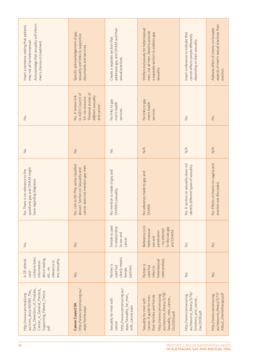| Acknowledge that sexuality will inform<br>Insert a sentence stating that patients<br>may not all be heterosexual.<br>men's choices in treatment.         | Specific acknowledgement of gay<br>sexuality and links to supportive<br>documents and services.                                                  | addresses gay and OHAM and their<br>Create a separate section that<br>sexual practices.                        | Written exclusively for heterosexual<br>men, not all men. Need to provide<br>a separate section to address gay<br>sexuality.                                                     | Insert a reference to indicate that<br>cancer affects people differently<br>depending on their sexuality. | aspects of men's sexual practices than<br>Address effect of chemo on broader<br>erection. |
|----------------------------------------------------------------------------------------------------------------------------------------------------------|--------------------------------------------------------------------------------------------------------------------------------------------------|----------------------------------------------------------------------------------------------------------------|----------------------------------------------------------------------------------------------------------------------------------------------------------------------------------|-----------------------------------------------------------------------------------------------------------|-------------------------------------------------------------------------------------------|
| $\frac{\dot{\rm o}}{\rm Z}$                                                                                                                              | 'Personal stories of<br>to AIDS Council of<br>No. A broken link<br>different sexuality<br>SA, via resource:<br>and cancer'.                      | No links to gay<br>men's health<br>services.                                                                   | No links to gay<br>men's health<br>services.                                                                                                                                     | $\frac{\dot{\rm O}}{\rm Z}$                                                                               | $\frac{\dot{\mathsf{O}}}{\mathsf{Z}}$                                                     |
| $\frac{\dot{\rm O}}{Z}$                                                                                                                                  | $\frac{\dot{\mathrm{o}}}{\mathrm{Z}}$                                                                                                            | $\frac{1}{2}$                                                                                                  | $\sum_{i=1}^{n}$                                                                                                                                                                 | $\sum_{i=1}^{n}$                                                                                          | $M \times N$                                                                              |
| questions gay and OHAM might<br>There is no reference to the<br>have regarding diagnosis.<br>.<br>S                                                      | Link to Mr Phip series (audited<br>cancer does not mention gay men.<br>above). Section on Sexuality and<br>$\frac{\dot{\mathsf{S}}}{\mathsf{Z}}$ | No mention is made of gay and<br>OHAM's sexuality.                                                             | No reference made to gay and<br>OHAM.                                                                                                                                            | A section on sexuality does not<br>identify different types of sexuality.<br>$\frac{1}{2}$                | Effects of chemo on vagina and<br>erection are discussed.<br>$\frac{1}{2}$                |
| $\frac{1}{2}$                                                                                                                                            | $\frac{1}{2}$                                                                                                                                    | Female is used<br>in relationship<br>to sex and<br>cancer.                                                     | Reference is to<br>to discuss gay<br>heterosexual<br>- no attempt<br>and OHAM.<br>penetration<br>sex and                                                                         | $\frac{1}{2}$                                                                                             | $\frac{1}{2}$                                                                             |
| contains basic<br>about testing<br>any sexuality.<br>A GP referral<br>information<br>reference to<br>etc., no<br>card-                                   | Yes.                                                                                                                                             | clearly means<br>Partner is<br>used but<br>partners.<br>female                                                 | relationships.<br>heterosexual<br>Partner is<br>used but<br>refers to                                                                                                            | Yes.                                                                                                      | Yes.                                                                                      |
| Early_Detection_of_Prostate_<br>Cancer_in_General_Practice_<br>au/icms_docs/60389_The_<br>Supporting_Patient_Choice.<br>http://www.cancerqld.org.<br>þdf | http://www.cancersa.org.au/<br>Cancer Council SA<br>aspx/home.aspx                                                                               | http://www.cancersa.org.au/<br>aspx/Sexuality_for_men_<br>Sexuality for men with<br>with_cancer.aspx<br>cancer | au/resource_library/3/18/<br>http://www.cancersa.org.<br>their families and friends<br>cancer: A guide for men,<br>Sexuality for men with<br>Sexuality_men_cancer<br>Oct2006.pdf | au/resource_library/3/16/<br>http://www.cancersa.org.<br>Emotions_and_cancer_<br>Dec2008.pdf              | About_chemotherapy.pdf<br>http://www.cancersa.org.<br>au/resource_library/3/17/           |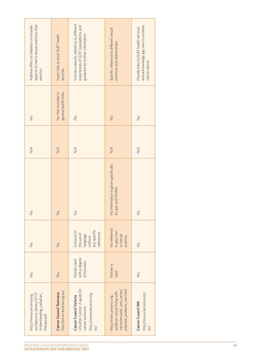| aspects of men's sexual practices than<br>Address effect of radiation on broader<br>erection.    | Insert links to local GLBT health<br>services.          | Include a specific reference to different<br>experiences of GLBT populations, and<br>guidance for further information. | Specific reference to different sexual<br>practices and relationships.                                                   | and acknowledge gay men in prostate<br>Provide links to GLBT health services<br>cancer advice. |
|--------------------------------------------------------------------------------------------------|---------------------------------------------------------|------------------------------------------------------------------------------------------------------------------------|--------------------------------------------------------------------------------------------------------------------------|------------------------------------------------------------------------------------------------|
| $\stackrel{\circ}{\geq}$                                                                         | general health links.<br>No. Not included in            | $\frac{\dot{\mathsf{O}}}{\mathsf{Z}}$                                                                                  | $\frac{1}{2}$                                                                                                            | $\frac{1}{2}$                                                                                  |
| $\bigotimes$                                                                                     | $\sum_{i=1}^{n}$                                        | $\underset{\text{N}}{\leq}$                                                                                            | $\sum_{i=1}^{n}$                                                                                                         | $\sum_{i=1}^{n}$                                                                               |
| $\frac{\dot{\rm o}}{\rm Z}$                                                                      | $\frac{\dot{\rm o}}{\rm Z}$                             | $\stackrel{\textstyle\circ}{\geq}$                                                                                     | No information is given specifically<br>for gay and OHAM.                                                                | $\frac{1}{2}$                                                                                  |
| $\frac{\dot{\rm o}}{\rm Z}$                                                                      | $\frac{\dot{\mathsf{O}}}{\mathsf{Z}}$                   | any specific<br>Inclusion in<br>references.<br>the use of<br>language<br>without                                       | No reference<br>to gay men<br>or sexual<br>practice.                                                                     | $\frac{\dot{\mathrm{o}}}{\mathrm{Z}}$                                                          |
| Yes.                                                                                             | Yes.                                                    | with a degree<br>Partner used<br>of inclusion.                                                                         | Partner is<br>used.                                                                                                      | Yes.                                                                                           |
| Understanding_radiation_<br>http://www.cancersa.org.<br>au/resource_library/3/17/<br>therapy.pdf | http://www.cancertas.org.au/<br>Cancer Council Tasmania | Life after Cancer: A guide for<br>http://www.cancervic.org.<br>Cancer Council Victoria<br>cancer survivors<br>/ne      | potential_problems_men.html<br>cancer/sexuality_and_cancer/<br>au/about-cancer/living-with-<br>http://www.cancervic.org. | http://www.cancerwa.asn.<br>Cancer Council WA<br>/ne                                           |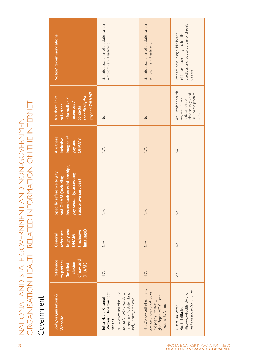ORGANISATION HEALTH-RELATED INFORMATION ON THE INTERNET ORGANISATION HEALTH-RELATED INFORMATION ON THE INTERNET NATIONAL AND STATE GOVERNMENT AND NON-GOVERNMENT NATIONAL AND STATE GOVERNMENT AND NON-GOVERNMENT

## Government Government

| Notes/Recommendations<br><b>EMAHO pue As S</b>                                                                                        | Generic description of prostate, cancer<br>symptoms and treatment.                                                                                                             | Generic description of prostate, cancer<br>symptoms and treatment.                                                             | practices and reduce burden of chronic<br>Website describing public health<br>initiative to support good health<br>disease.<br>Yes. Provides a search<br>OHAM and prostate<br>relevance to gay and |
|---------------------------------------------------------------------------------------------------------------------------------------|--------------------------------------------------------------------------------------------------------------------------------------------------------------------------------|--------------------------------------------------------------------------------------------------------------------------------|----------------------------------------------------------------------------------------------------------------------------------------------------------------------------------------------------|
| Are there links<br>specifically for<br>information<br>resources/<br>to further<br>contacts                                            | $\frac{\dot{\mathrm{o}}}{\mathrm{Z}}$                                                                                                                                          | $\frac{1}{2}$                                                                                                                  | engine with links<br>to documents of<br>cancer.                                                                                                                                                    |
| <b>Are there</b><br>images of<br>inclusive<br><b>OHAM?</b><br><b>Bay</b> and                                                          | $\sum_{i=1}^{n}$                                                                                                                                                               | $\sum_{i=1}^{n}$                                                                                                               | $\frac{1}{2}$                                                                                                                                                                                      |
| issues such as relationships,<br>Specific reference to gay<br>gay sexuality, accessing<br>and OHAM (including<br>supportive services) | $\frac{4}{2}$                                                                                                                                                                  | $\frac{4}{2}$                                                                                                                  | $\frac{1}{2}$                                                                                                                                                                                      |
| to gay and<br>(Janguage<br><b>Cinclusive</b><br>reference<br>General<br><b>OHAM</b>                                                   | $\sum_{i=1}^{n}$                                                                                                                                                               | $\sum_{i=1}^{n}$                                                                                                               | $\frac{\dot{\mathrm{o}}}{\mathrm{Z}}$                                                                                                                                                              |
| Reference<br>of gay and<br>to partner<br>inclusion<br><b>CINAHO</b><br><b>Cimplied</b>                                                | $\frac{1}{2}$                                                                                                                                                                  | $\underset{\text{N}}{\leq}$                                                                                                    | Yes.                                                                                                                                                                                               |
| <b>Body/organisation &amp;</b><br><b>Website</b>                                                                                      | http://www.betterhealth.vic.<br>nsf/pages/Prostate_gland_<br>(Victorian Department of<br>gov.au/bhcv2/bhcarticles.<br>and_urinary_problems<br>Better Health Channel<br>Health) | http://www.betterhealth.vic.<br>gov.au/Bhcv2/bhcArticles.<br>gland?openeviQ Cancer<br>nsf/pages/Prostate_<br>Treatments Online | health.wa.gov.au/abhi/home/<br>http://www.healthnetworks.<br>Australian Better<br>Health Initiative                                                                                                |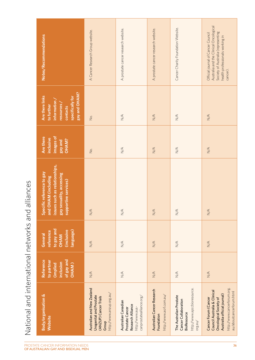| <b>Body/organisation &amp;</b><br>Website                                                                                                                                       | of gay and<br>Reference<br>to partner<br>inclusion<br><b>CINAHO</b><br><b>Cimplied</b> | to gay and<br><b>Cinclusive</b><br>language)<br>reference<br>General<br><b>OHAM</b> | issues such as relationships,<br>Specific reference to gay<br>gay sexuality, accessing<br>and OHAM (including<br>supportive services) | Are there<br>images of<br>inclusive<br><b>OHAM?</b><br><b>pue kes</b> | gay and OHAM?<br>Are there links<br>specifically for<br>information,<br>resources<br>to further<br>contacts | Notes/Recommendations                                                                                                                                             |
|---------------------------------------------------------------------------------------------------------------------------------------------------------------------------------|----------------------------------------------------------------------------------------|-------------------------------------------------------------------------------------|---------------------------------------------------------------------------------------------------------------------------------------|-----------------------------------------------------------------------|-------------------------------------------------------------------------------------------------------------|-------------------------------------------------------------------------------------------------------------------------------------------------------------------|
| Australian and New Zealand<br>http://www.anzup.org.au/<br>Urogenital and Prostate<br>(ANZUP) Cancer Trials<br>Group                                                             | $\frac{4}{2}$                                                                          | $\sum_{i=1}^{n}$                                                                    | $\sum_{i=1}^{n}$                                                                                                                      | $\frac{1}{2}$                                                         | $\frac{\dot{\rm o}}{\rm Z}$                                                                                 | A Cancer Research Group website.                                                                                                                                  |
| canprostatealliance.org/<br>Australian Canadian<br>Research Alliance<br>Prostate Cancer<br>http://www.aus-                                                                      | $\underset{\text{N}}{\leq}$                                                            | $\sum_{i=1}^{n}$                                                                    | $\sum_{i=1}^{n}$                                                                                                                      | $\bigotimes$                                                          | $\bigotimes$                                                                                                | A prostate cancer research website.                                                                                                                               |
| Australian Cancer Research<br>http://www.acrf.com.au/<br>Foundation                                                                                                             | $\frac{4}{2}$                                                                          | $\sum_{i=1}^{n}$                                                                    | $\frac{4}{\sqrt{2}}$                                                                                                                  | $\sum_{i=1}^{n}$                                                      | $\sum_{i=1}^{n}$                                                                                            | A prostate cancer research website.                                                                                                                               |
| http://www.apccbioresource.<br>The Australian Prostate<br><b>Cancer Collaboration</b><br>BioResource<br>org.au/                                                                 | $\lesssim$                                                                             | $\underset{\text{N}}{\leq}$                                                         | $\begin{array}{c}\n\searrow\\ \n\searrow\n\end{array}$                                                                                | $\underset{\text{N}}{\leq}$                                           | $\underset{\text{N}}{\leq}$                                                                                 | Cancer Charity Foundation Website.                                                                                                                                |
| http://www.cancerforum.org.<br>Council Australia & Clinical<br>au/aboutcancerforum.html<br>Australia official journal)<br>Cancer Forum (Cancer<br><b>Oncological Society of</b> | $\sum_{i=1}^{n}$                                                                       | $\sum_{i=1}^{n}$                                                                    | $\sum_{i=1}^{n}$                                                                                                                      | $\sum_{i=1}^{n}$                                                      | $\underset{\text{N}}{\leq}$                                                                                 | Australia and the Clinical Oncological<br>Society of Australia (representing<br>Official journal of Cancer Council<br>health professionals working in<br>cancer). |

National and international networks and alliances National and international networks and alliances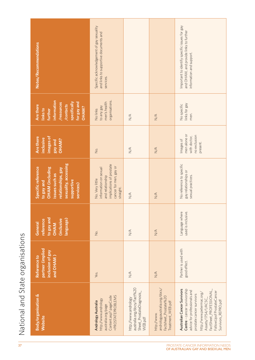| りりし キクリース りょく クサワサ<br>)<br>)<br>)<br>) |
|----------------------------------------|
| ∶                                      |
| ) , , , ,<br>Ò                         |
| てくり                                    |
| ークストナイ<br>)<br>;<br>;                  |

| Notes/Recommendations                                                                                                                                 | Specific acknowledgement of gay sexuality<br>and links to supportive documents and<br>services.                                 |                                                                                          |                                                                                           | Important to identify specific issues for gay<br>and OHAM, and provide links to further<br>information and support.                                                                                                                                        |
|-------------------------------------------------------------------------------------------------------------------------------------------------------|---------------------------------------------------------------------------------------------------------------------------------|------------------------------------------------------------------------------------------|-------------------------------------------------------------------------------------------|------------------------------------------------------------------------------------------------------------------------------------------------------------------------------------------------------------------------------------------------------------|
| information<br>specifically<br>for gay and<br><i><b>/resources</b></i><br><b>/contacts</b><br><b>Are there</b><br><b>OHAM?</b><br>links to<br>further | organisations.<br>men's health<br>to any gay<br>No links                                                                        | $\underset{\text{N}}{\leq}$                                                              | $\sum_{i=1}^{n}$                                                                          | links for gay<br>No specific<br>men.                                                                                                                                                                                                                       |
| Are there<br>images of<br>inclusive<br><b>OHAM?</b><br><b>pue <i>k</i>es</b>                                                                          | $\frac{1}{2}$                                                                                                                   | $\underset{\text{N}}{\leq}$                                                              | $\underset{\text{N}}{\leq}$                                                               | men alone or<br>no exclusion<br>with doctor,<br>Images of<br>present.                                                                                                                                                                                      |
| sexuality, accessing<br>Specific reference<br><b>OHAM (including</b><br>relationships, gay<br>issues such as<br>supportive<br>to gay and<br>services) | implications of prostate<br>cancer for men, gay or<br>information on sexual<br>and relationship<br>No. Very little<br>straight. | $\bigotimes_{\mathbb{Z}}$                                                                | $\sum_{i=1}^{n}$                                                                          | No reference to specific<br>gay relationships or<br>sexual practices.                                                                                                                                                                                      |
| to gay and<br><b>Cinclusive</b><br>language)<br>reference<br>General<br><b>OHAM</b>                                                                   | δ.                                                                                                                              | $\underset{\text{N}}{\leq}$                                                              | $\sum_{i=1}^{n}$                                                                          | Language where<br>used is inclusive.                                                                                                                                                                                                                       |
| partner (implied<br>inclusion of gay<br>and OHAM)<br>Reference to                                                                                     | Yes.                                                                                                                            | $\bigotimes_{\mathbb{Z}}$                                                                | $\sum_{i=1}^{n}$                                                                          | Partner is used with<br>good effect.                                                                                                                                                                                                                       |
| <b>Body/organisation &amp;</b><br>Website                                                                                                             | =PROSTATEPROBLEMS<br>Content.asp? pageCode<br>http://www.andrology<br>Andrology Australia<br>australia.org/page                 | australia.org/docs/Fact%20<br>Sheet_ProstateDiagnosis<br>http://www.andrology<br>WEB.pdf | andrologyaustralia.org/docs/<br>Factsheet_Prostate%20<br>Treatment_WEB.pdf<br>http://www. | Australian Cancer Survivors<br>Centre - cancer survivorship<br>FactSheet_PROFESSIONAL<br>advice for professionals and<br>Follow Upof Prostate Cancer<br>http://www.petermac.org/<br>prostate cancer survivors<br>Assets/1754/1/ACSC<br>Survivors_REPRO.pdf |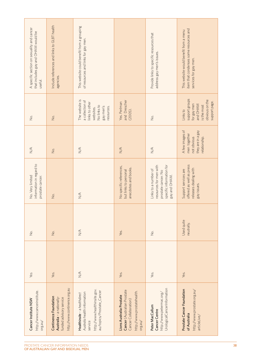| A specific section on sexuality and cancer<br>that includes gay and OHAM would be<br>useful. | Include references and links to GLBT health<br>agencies.                                                      | This website could benefit from a grouping<br>of resources and links for gay men.                                                     |                                                                                                                           | Provide links to specific resources that<br>address gay men's issues.                                              | item that condenses some resources and<br>This website would benefit from a menu<br>services for gay men. |
|----------------------------------------------------------------------------------------------|---------------------------------------------------------------------------------------------------------------|---------------------------------------------------------------------------------------------------------------------------------------|---------------------------------------------------------------------------------------------------------------------------|--------------------------------------------------------------------------------------------------------------------|-----------------------------------------------------------------------------------------------------------|
| δ.                                                                                           | $\frac{\dot{\rm o}}{\rm Z}$                                                                                   | The website is<br>a collection of<br>links to other<br>No links to<br>gay men's<br>resources.<br>websites.                            | and Drescher<br>Yes. Perlman<br>(2005)                                                                                    | δ.                                                                                                                 | support groups<br>obvious on the<br>support page.<br>for gay men<br>and OHAM<br>is the most<br>Links to   |
| $\bigotimes_{\mathbb{Z}}$                                                                    | $\frac{\dot{\mathrm{o}}}{\mathrm{Z}}$                                                                         | $\underset{\text{Z}}{\leq}$                                                                                                           | $\frac{4}{\sqrt{2}}$                                                                                                      | $\underset{\text{Z}}{\leq}$                                                                                        | A few images of<br>they are in a gay<br>men together<br>not obvious<br>relationship.                      |
| information in regard to<br>No. Very limited<br>prostate cancer.                             | $\frac{\circ}{\mathbb{Z}}$                                                                                    | $\underset{\text{Z}}{\leq}$                                                                                                           | No specific references,<br>anecdotes and books.<br>but links to personal                                                  | resources for men with<br>specific information for<br>Links to a number of<br>prostate cancer. No<br>gay and OHAM. | offered as well as press<br>releases dealing with<br>Support services are<br>gay issues.                  |
| $\frac{\dot{\mathrm{o}}}{\mathrm{Z}}$                                                        | $\frac{\dot{\rm o}}{\rm Z}$                                                                                   | $\underset{\text{N}}{\leq}$                                                                                                           | Yes.                                                                                                                      | δ.                                                                                                                 | Used quite<br>neutrally.                                                                                  |
| Yes                                                                                          | Yes.                                                                                                          | $\underset{\text{N}}{\leq}$                                                                                                           | Yes.                                                                                                                      | Yes.                                                                                                               | Yes.                                                                                                      |
| http://www.cancerinstitute.<br>Cancer Institute NSW<br>org.au/                               | http://www.continence.org.au<br>Continence Foundation<br>Australia - a nationally-<br>funded advisory service | http://www.healthinsite.gov.<br>au/topics/Prostate_Cancer<br>Australia health information<br>Healthinsite - a healthdirect<br>service | Cancer (Australian Prostate<br>http://www.prostatehealth.<br>Lions Australia Prostate<br>Cancer Collaboration)<br>org.au/ | UrologicalCancerInformation<br>http://www.petermac.org/<br>Peter MacCallum<br>Cancer Centre                        | Prostate Cancer Foundation<br>http://www.prostate.org.au/<br>of Australia<br>articleLive/                 |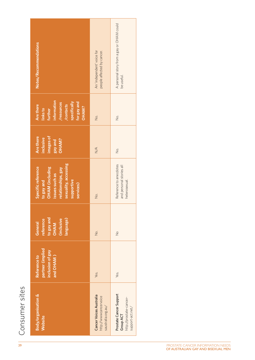| Š |
|---|
| t |
| ٢ |
|   |
|   |
|   |
|   |

| <b>Body/organisation &amp;</b><br>Cancer Voices Australia<br>http://www.cancervoice<br><b>Website</b> | partner (implied<br>inclusion of gay<br>and OHAM)<br>Reference to<br>Yes. | bue <i>ke</i> 8 o:<br><b>Cinclusive</b><br>(Janguage<br>reference<br><b>NAHC</b><br>General<br>$\frac{1}{2}$ | sexuality, accessing<br>Specific reference<br><b>OHAM (including</b><br>relationships, gay<br>issues such as<br>to gay and<br>supportive<br>services)<br>$\frac{1}{2}$ | images of<br>Are there<br>inclusive<br><b>OHAM?</b><br><b>bue Ae8</b><br>$\frac{1}{2}$ | information<br>specifically<br>/resources<br>for gay and<br>/contacts<br><b>Are there</b><br><b>OHAM?</b><br>further<br>links to<br>$\frac{1}{2}$ | Notes/Recommendations<br>An 'independent' voice for<br>people affected by cancer. |
|-------------------------------------------------------------------------------------------------------|---------------------------------------------------------------------------|--------------------------------------------------------------------------------------------------------------|------------------------------------------------------------------------------------------------------------------------------------------------------------------------|----------------------------------------------------------------------------------------|---------------------------------------------------------------------------------------------------------------------------------------------------|-----------------------------------------------------------------------------------|
| Prostate Cancer Support<br>http://prostate-cancer-                                                    | Yes.                                                                      | $\frac{1}{2}$                                                                                                | Reference to anecdotes<br>and personal stories all<br>heterosexual.                                                                                                    | $\frac{1}{2}$                                                                          | $\frac{1}{2}$                                                                                                                                     | A personal story from a gay or OHAM could<br>be useful.                           |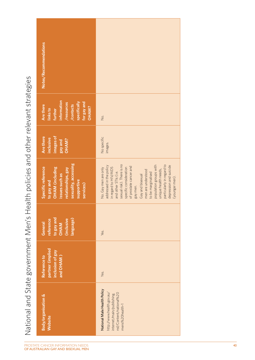| National Male Health Policy<br>http://www.health.gov.au/<br><b>Body/organisation &amp;</b><br><b>Website</b> | partner (implied<br>nclusion of gay<br>and OHAM)<br>Reference to<br>Yes. | to gay and<br>OHAM<br><b>Cinclusive</b><br>(Janguage<br>reference<br>General<br>Yes. | sexuality, accessing<br>addressed in the policy<br>Specific reference<br>No. Gay men are only<br><b>OHAM</b> (including<br>relationships, gay<br>issues such as<br>supportive<br>to gay and<br>services)                                                                                                                              | Are there<br>No specific<br>images of<br>inclusive<br><b>OHAM?</b><br><b>bue kes</b><br>images. | information<br>for gay and<br>specifically<br>/resources<br>/contacts<br>Are there<br><b>OHAM?</b><br>links to<br>further<br>δ. | Notes/Recommendations |  |
|--------------------------------------------------------------------------------------------------------------|--------------------------------------------------------------------------|--------------------------------------------------------------------------------------|---------------------------------------------------------------------------------------------------------------------------------------------------------------------------------------------------------------------------------------------------------------------------------------------------------------------------------------|-------------------------------------------------------------------------------------------------|---------------------------------------------------------------------------------------------------------------------------------|-----------------------|--|
| internet/main/publishing.<br>nsf/Content/national%20<br>mens%20health-1                                      |                                                                          |                                                                                      | sexual risk). There is no<br>particularly in regard to<br>population groups with<br>depression and suicide<br>of prostate cancer and<br>in regard to HIV/AIDS<br>specific consideration<br>unique health needs,<br>men are understood<br>and other STIs (i.e.<br>to be marginalised<br>Gay and bisexual<br>(younger men).<br>gay men. |                                                                                                 |                                                                                                                                 |                       |  |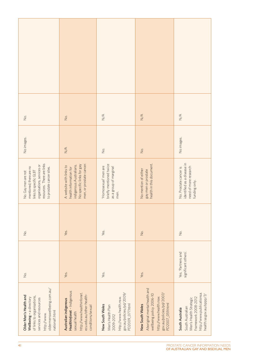| $\frac{\dot{\rm o}}{\rm Z}$                                                                                                                                              | $\frac{\dot{\rm o}}{\rm Z}$                                                                                                                        | $\sum_{i=1}^{n}$                                                                                                           | $\underset{\text{N}}{\leq}$                                                                                                                          | $\sum_{i=1}^{n}$                                                                                                                              |
|--------------------------------------------------------------------------------------------------------------------------------------------------------------------------|----------------------------------------------------------------------------------------------------------------------------------------------------|----------------------------------------------------------------------------------------------------------------------------|------------------------------------------------------------------------------------------------------------------------------------------------------|-----------------------------------------------------------------------------------------------------------------------------------------------|
| No images.                                                                                                                                                               | $\sum_{i=1}^{n}$                                                                                                                                   | $\frac{\dot{O}}{C}$                                                                                                        | $\stackrel{\circ}{\geq}$                                                                                                                             | No images.                                                                                                                                    |
| resources. There are links<br>organisations, services or<br>mentioned; there are no<br>to prostate cancer sites.<br>links to specific GLBT<br>No. Gay men are not        | men, or prostate cancer.<br>No specific links for gay<br>indigenous Australians.<br>A website with links to<br>health information for              | briefly mentioned twice<br>'Homosexual' men are<br>as a group of marginal<br>men.                                          | health in this document.<br>No mention of either<br>gay men or prostate                                                                              | identified as a disease in<br>need of more research<br>No. Prostate cancer is<br>funding only.                                                |
| $\frac{\dot{\rm o}}{\rm Z}$                                                                                                                                              | Yes.                                                                                                                                               | Yes.                                                                                                                       | $\frac{1}{2}$                                                                                                                                        | $\frac{\dot{\rm o}}{\rm Z}$                                                                                                                   |
| $\frac{\circ}{\mathbb{Z}}$                                                                                                                                               | Yes.                                                                                                                                               | Yes.                                                                                                                       | Yes.                                                                                                                                                 | significant others'.<br>Yes. 'Partners and                                                                                                    |
| oldermenswellbeing.com.au/<br>Older Men's Health and<br>of links to organisations,<br>Wellbeing - a directory<br>services and resources<br>national1.html<br>http://www. | HealthInfonet - Indigenous<br>http://www.healthinfonet.<br>ecu.edu.au/other-health-<br>Australian indigenous<br>conditions/sexual<br>sexual health | gov.au/policies/pd/2009/<br>http://www.health.nsw.<br>PD2009_077.html<br>New South Wales<br>Men's Health Plan<br>2009-2012 | Aboriginal mental health and<br>gov.au/policies/pd/2007/<br>wellbeing policy 2006-10<br>http://www.health.nsw.<br>PD2007_059.html<br>New South Wales | http://www.publicationsa.<br>health.sa.gov.au/oppp/7/<br>Framework 2008-2012<br>Men's Health Strategic<br>South Australian<br>South Australia |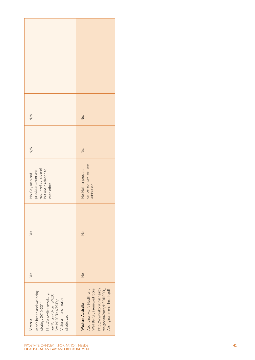| $\underset{\text{Z}}{\leq}$                                                                                                                                                         | $\frac{1}{2}$                                                                                                                                                                     |
|-------------------------------------------------------------------------------------------------------------------------------------------------------------------------------------|-----------------------------------------------------------------------------------------------------------------------------------------------------------------------------------|
| $\frac{1}{2}$                                                                                                                                                                       | $\frac{1}{2}$                                                                                                                                                                     |
| prostate cancer are<br>each well considered<br>but not in relation to<br>No. Gay men and<br>each other.                                                                             | cancer nor gay men are<br>No. Neither prostate<br>addressed.                                                                                                                      |
| Yes.                                                                                                                                                                                | $\frac{1}{2}$                                                                                                                                                                     |
| Yes.                                                                                                                                                                                | $\frac{1}{2}$                                                                                                                                                                     |
| Men's health and wellbeing<br>http://www.livingwell.org.<br>au/Portals/0/Living%20<br>Victoria_mens_health_<br>Well%20Files/PDFs/<br>strategy 2010-2014<br>strategy.pdf<br>Victoria | http://www.aboriginal.health.<br><b>Well Being, a renewed focus</b><br>wa.gov.au/docs/HP011000_<br>Aboriginal Men's Health and<br>Aboriginal_mens_health.pdf<br>Western Australia |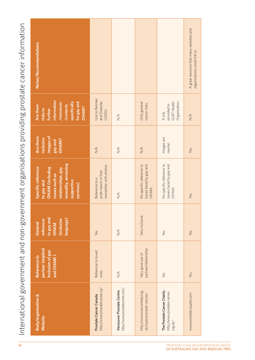International government and non-government organisations providing prostate cancer information International government and non-government organisations providing prostate cancer information

| <b>Body/organisation &amp;</b><br><b>Website</b>                      | partner (implied<br>inclusion of gay<br>and OHAM)<br>Reference to | to gay and<br>(inclusive<br>language)<br>reference<br>General<br><b>OHAM</b> | sexuality, accessing<br>Specific reference<br><b>OHAM (including</b><br>relationships, gay<br>issues such as<br>supportive<br>pue ƙe8 o <sub>1</sub><br>services) | Are there<br>images of<br>inclusive<br><b>OHAM?</b><br>Bay and | information<br>for gay and<br>specifically<br><i><b>/resources</b></i><br>/contacts<br>Are there<br>OHAM?<br>links to<br>further | Notes/Recommendations                                                   |
|-----------------------------------------------------------------------|-------------------------------------------------------------------|------------------------------------------------------------------------------|-------------------------------------------------------------------------------------------------------------------------------------------------------------------|----------------------------------------------------------------|----------------------------------------------------------------------------------------------------------------------------------|-------------------------------------------------------------------------|
| http://www.prostatecancer.ca/<br>Prostate Cancer Canada               | Reference to loved<br>ones.                                       | Yes.                                                                         | newsletter with photos.<br>pride march in their<br>Reference to a                                                                                                 | $M \times N$                                                   | Link to Perlman<br>and Drescher<br>(2005)                                                                                        |                                                                         |
| http://www.prostatecentre.com/<br>Vancouver Prostate Centre           | $\sum_{i=1}^{n}$                                                  | $\sum_{i=1}^{n}$                                                             | $\bigotimes_{\mathbb{Z}}$                                                                                                                                         | $\underset{\text{N}}{\leq}$                                    | $\underset{\text{Z}}{\leq}$                                                                                                      |                                                                         |
| http://www.cancerhelp.org.<br>uk/type/prostate-cancer/                | partner/relationship.<br>Very good use of                         | Very inclusive.                                                              | No specific reference to<br>issues faced by gay and<br>OHAM.                                                                                                      | $\underset{\text{N}}{\leq}$                                    | Only general<br>cancer links.                                                                                                    |                                                                         |
| The Prostate Cancer Charity<br>http://www.prostate-cancer.<br>org.uk/ | Yes.                                                              | Yes.                                                                         | No specific reference to<br>issues faced by gay and<br>OHAM.                                                                                                      | Images are<br>neutral.                                         | Organisation.<br><b>GLBT</b> Health<br>provided to<br>A link                                                                     |                                                                         |
| www.prostatecouples.com                                               | Yes.                                                              | Yes.                                                                         | Yes.                                                                                                                                                              | Yes.                                                           | $\sum_{i=1}^{n}$                                                                                                                 | A great resource that many websites and<br>organisations could link to. |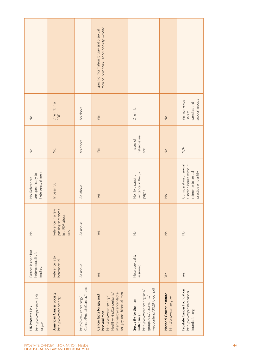|                                                            |                                                                   |                                                       | men on American Cancer Society website.<br>Specific information for gay and bisexual                                                                   |                                                                                                                          |                                                     |                                                                                                    |
|------------------------------------------------------------|-------------------------------------------------------------------|-------------------------------------------------------|--------------------------------------------------------------------------------------------------------------------------------------------------------|--------------------------------------------------------------------------------------------------------------------------|-----------------------------------------------------|----------------------------------------------------------------------------------------------------|
| $\frac{\dot{\rm o}}{\rm Z}$                                | One link in a<br>PDF.                                             | As above.                                             | Yes.                                                                                                                                                   | One link.                                                                                                                | $\frac{\dot{\rm o}}{\rm Z}$                         | support groups<br>Yes, numerous<br>websites and<br>links to                                        |
| $\stackrel{\circ}{\geq}$                                   | $\stackrel{\textstyle\circ}{\geq}$                                | As above.                                             | Yes.                                                                                                                                                   | heterosexual<br>Images of<br>sex.                                                                                        | $\stackrel{\circ}{\geq}$                            | $\underset{\text{N}}{\leq}$                                                                        |
| heterosexual men.<br>are specifically to<br>No. References | In passing.                                                       | As above.                                             | Yes.                                                                                                                                                   | sentence in the 52<br>No. Two passing<br>pages.                                                                          | $\stackrel{\textstyle\circ}{\geq}$                  | function issues without<br>Consideration of sexual<br>practice or identity.<br>reference to sexual |
| $\frac{\dot{\rm o}}{\rm Z}$                                | Reference in a few<br>passing sentences<br>in a PDF about<br>sex. | As above.                                             | Yes.                                                                                                                                                   | $\frac{\dot{\rm o}}{\rm Z}$                                                                                              | $\frac{\dot{\rm o}}{\rm Z}$                         | $\frac{1}{2}$                                                                                      |
| Partner is used but<br>heterosexuality is<br>implied.      | Reference is to<br>heterosexual.                                  | As above.                                             | Yes.                                                                                                                                                   | Heterosexuality<br>assumed.                                                                                              | Yes.                                                | Yes.                                                                                               |
| http://www.prostate-link.<br>UK Prostate Link<br>org.uk    | American Cancer Society<br>http://www.cancer.org/                 | Cancer/ProstateCancer/index<br>http://www.cancer.org/ | MensHealth/cancer-facts-<br>for-gay-and-bisexual-men<br>Healthy/FindCancerEarly/<br>Cancer facts for gay and<br>http://www.cancer.org/<br>bisexual men | webcontent/002910-pdf.pdf<br>http://www.cancer.org/acs/<br>groups/cid/documents/<br>Sexuality for the man<br>with cancer | National Cancer Institute<br>http://www.cancer.gov/ | Prostate Cancer Foundation<br>http://www.prostatecancer<br>foundation.org                          |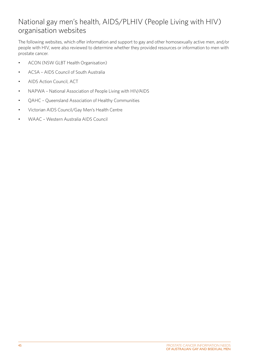#### National gay men's health, AIDS/PLHIV (People Living with HIV) organisation websites

The following websites, which offer information and support to gay and other homosexually active men, and/or people with HIV, were also reviewed to determine whether they provided resources or information to men with prostate cancer.

- ACON (NSW GLBT Health Organisation)
- ACSA AIDS Council of South Australia
- AIDS Action Council, ACT
- NAPWA National Association of People Living with HIV/AIDS
- QAHC Queensland Association of Healthy Communities
- Victorian AIDS Council/Gay Men's Health Centre
- WAAC Western Australia AIDS Council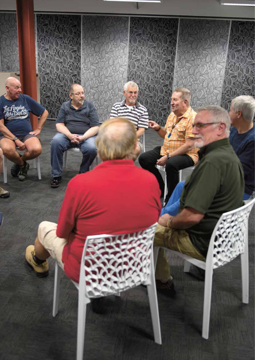